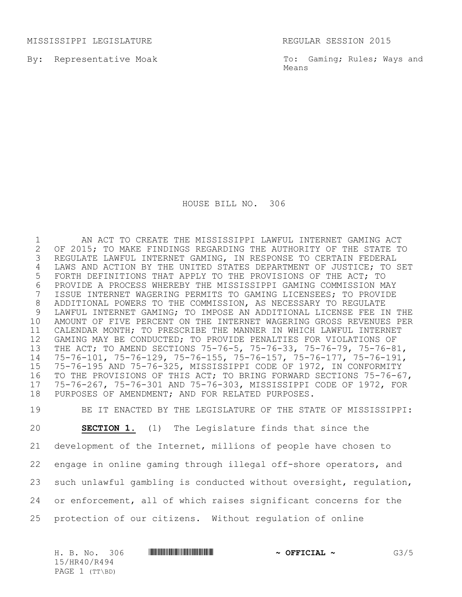MISSISSIPPI LEGISLATURE REGULAR SESSION 2015

By: Representative Moak

To: Gaming; Rules; Ways and Means

HOUSE BILL NO. 306

 AN ACT TO CREATE THE MISSISSIPPI LAWFUL INTERNET GAMING ACT 2 OF 2015; TO MAKE FINDINGS REGARDING THE AUTHORITY OF THE STATE TO<br>3 REGULATE LAWFUL INTERNET GAMING, IN RESPONSE TO CERTAIN FEDERAL REGULATE LAWFUL INTERNET GAMING, IN RESPONSE TO CERTAIN FEDERAL LAWS AND ACTION BY THE UNITED STATES DEPARTMENT OF JUSTICE; TO SET FORTH DEFINITIONS THAT APPLY TO THE PROVISIONS OF THE ACT; TO 6 PROVIDE A PROCESS WHEREBY THE MISSISSIPPI GAMING COMMISSION MAY<br>7 ISSUE INTERNET WAGERING PERMITS TO GAMING LICENSEES; TO PROVIDE ISSUE INTERNET WAGERING PERMITS TO GAMING LICENSEES; TO PROVIDE ADDITIONAL POWERS TO THE COMMISSION, AS NECESSARY TO REGULATE LAWFUL INTERNET GAMING; TO IMPOSE AN ADDITIONAL LICENSE FEE IN THE AMOUNT OF FIVE PERCENT ON THE INTERNET WAGERING GROSS REVENUES PER CALENDAR MONTH; TO PRESCRIBE THE MANNER IN WHICH LAWFUL INTERNET GAMING MAY BE CONDUCTED; TO PROVIDE PENALTIES FOR VIOLATIONS OF THE ACT; TO AMEND SECTIONS 75-76-5, 75-76-33, 75-76-79, 75-76-81, 75-76-101, 75-76-129, 75-76-155, 75-76-157, 75-76-177, 75-76-191, 75-76-195 AND 75-76-325, MISSISSIPPI CODE OF 1972, IN CONFORMITY TO THE PROVISIONS OF THIS ACT; TO BRING FORWARD SECTIONS 75-76-67, 75-76-267, 75-76-301 AND 75-76-303, MISSISSIPPI CODE OF 1972, FOR PURPOSES OF AMENDMENT; AND FOR RELATED PURPOSES.

 BE IT ENACTED BY THE LEGISLATURE OF THE STATE OF MISSISSIPPI: **SECTION 1.** (1) The Legislature finds that since the development of the Internet, millions of people have chosen to engage in online gaming through illegal off-shore operators, and such unlawful gambling is conducted without oversight, regulation, or enforcement, all of which raises significant concerns for the protection of our citizens. Without regulation of online

H. B. No. 306 \*HR40/R494\* **~ OFFICIAL ~** G3/5 15/HR40/R494 PAGE 1 (TT\BD)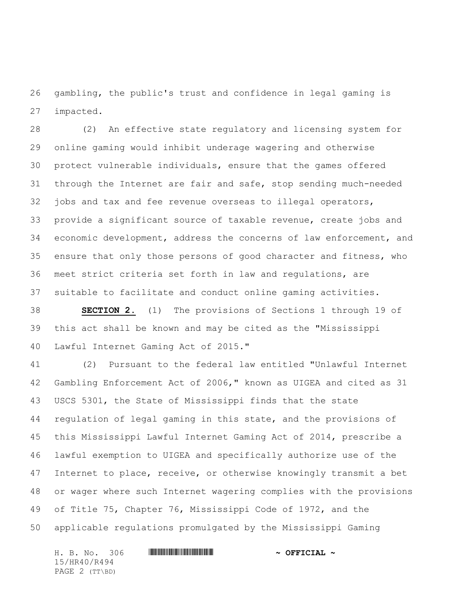gambling, the public's trust and confidence in legal gaming is impacted.

 (2) An effective state regulatory and licensing system for online gaming would inhibit underage wagering and otherwise protect vulnerable individuals, ensure that the games offered through the Internet are fair and safe, stop sending much-needed jobs and tax and fee revenue overseas to illegal operators, provide a significant source of taxable revenue, create jobs and economic development, address the concerns of law enforcement, and ensure that only those persons of good character and fitness, who meet strict criteria set forth in law and regulations, are suitable to facilitate and conduct online gaming activities.

 **SECTION 2.** (1) The provisions of Sections 1 through 19 of this act shall be known and may be cited as the "Mississippi Lawful Internet Gaming Act of 2015."

 (2) Pursuant to the federal law entitled "Unlawful Internet Gambling Enforcement Act of 2006," known as UIGEA and cited as 31 USCS 5301, the State of Mississippi finds that the state regulation of legal gaming in this state, and the provisions of this Mississippi Lawful Internet Gaming Act of 2014, prescribe a lawful exemption to UIGEA and specifically authorize use of the Internet to place, receive, or otherwise knowingly transmit a bet or wager where such Internet wagering complies with the provisions of Title 75, Chapter 76, Mississippi Code of 1972, and the applicable regulations promulgated by the Mississippi Gaming

H. B. No. 306 \*HR40/R494\* **~ OFFICIAL ~** 15/HR40/R494 PAGE 2 (TT\BD)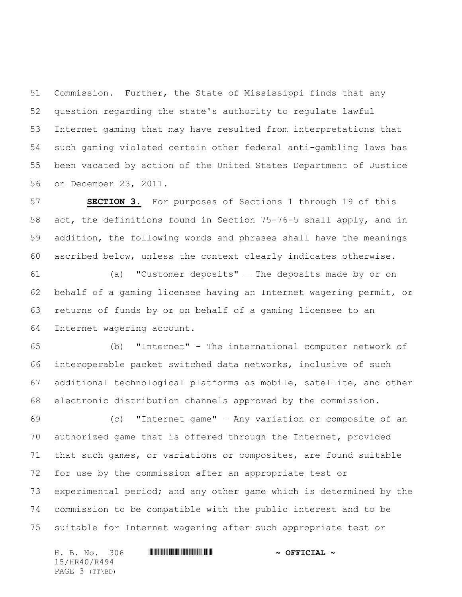Commission. Further, the State of Mississippi finds that any question regarding the state's authority to regulate lawful Internet gaming that may have resulted from interpretations that such gaming violated certain other federal anti-gambling laws has been vacated by action of the United States Department of Justice on December 23, 2011.

 **SECTION 3.** For purposes of Sections 1 through 19 of this act, the definitions found in Section 75-76-5 shall apply, and in addition, the following words and phrases shall have the meanings ascribed below, unless the context clearly indicates otherwise.

 (a) "Customer deposits" – The deposits made by or on behalf of a gaming licensee having an Internet wagering permit, or returns of funds by or on behalf of a gaming licensee to an Internet wagering account.

 (b) "Internet" – The international computer network of interoperable packet switched data networks, inclusive of such additional technological platforms as mobile, satellite, and other electronic distribution channels approved by the commission.

 (c) "Internet game" – Any variation or composite of an authorized game that is offered through the Internet, provided that such games, or variations or composites, are found suitable for use by the commission after an appropriate test or experimental period; and any other game which is determined by the commission to be compatible with the public interest and to be suitable for Internet wagering after such appropriate test or

H. B. No. 306 \*HR40/R494\* **~ OFFICIAL ~** 15/HR40/R494 PAGE 3 (TT\BD)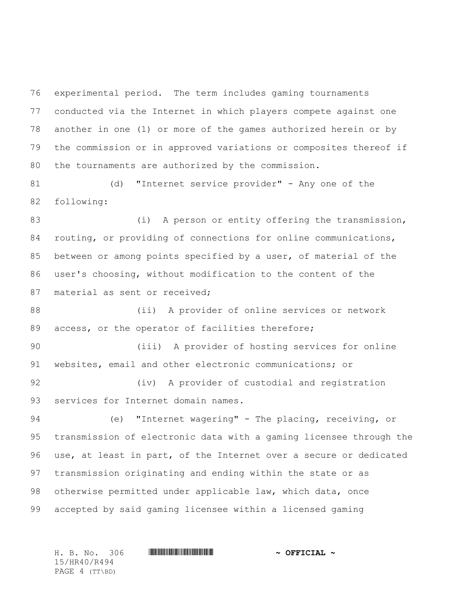experimental period. The term includes gaming tournaments conducted via the Internet in which players compete against one another in one (1) or more of the games authorized herein or by the commission or in approved variations or composites thereof if the tournaments are authorized by the commission.

 (d) "Internet service provider" - Any one of the following:

83 (i) A person or entity offering the transmission, routing, or providing of connections for online communications, between or among points specified by a user, of material of the user's choosing, without modification to the content of the 87 material as sent or received;

 (ii) A provider of online services or network access, or the operator of facilities therefore;

 (iii) A provider of hosting services for online websites, email and other electronic communications; or

92 (iv) A provider of custodial and registration services for Internet domain names.

 (e) "Internet wagering" - The placing, receiving, or transmission of electronic data with a gaming licensee through the use, at least in part, of the Internet over a secure or dedicated transmission originating and ending within the state or as otherwise permitted under applicable law, which data, once accepted by said gaming licensee within a licensed gaming

15/HR40/R494 PAGE 4 (TT\BD)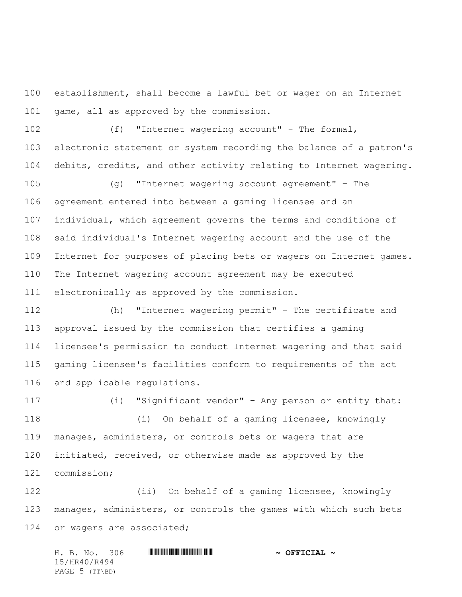establishment, shall become a lawful bet or wager on an Internet 101 game, all as approved by the commission.

 (f) "Internet wagering account" - The formal, electronic statement or system recording the balance of a patron's debits, credits, and other activity relating to Internet wagering.

 (g) "Internet wagering account agreement" – The agreement entered into between a gaming licensee and an individual, which agreement governs the terms and conditions of said individual's Internet wagering account and the use of the Internet for purposes of placing bets or wagers on Internet games. The Internet wagering account agreement may be executed electronically as approved by the commission.

 (h) "Internet wagering permit" – The certificate and approval issued by the commission that certifies a gaming licensee's permission to conduct Internet wagering and that said gaming licensee's facilities conform to requirements of the act and applicable regulations.

 (i) "Significant vendor" – Any person or entity that: (i) On behalf of a gaming licensee, knowingly manages, administers, or controls bets or wagers that are initiated, received, or otherwise made as approved by the commission;

 (ii) On behalf of a gaming licensee, knowingly manages, administers, or controls the games with which such bets 124 or wagers are associated;

H. B. No. 306 \*HR40/R494\* **~ OFFICIAL ~** 15/HR40/R494 PAGE 5 (TT\BD)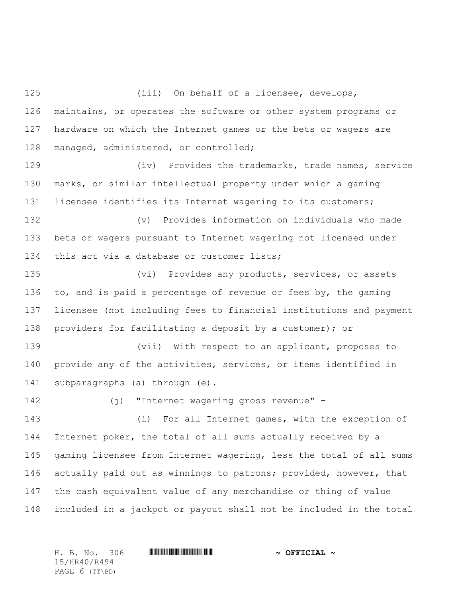(iii) On behalf of a licensee, develops, maintains, or operates the software or other system programs or hardware on which the Internet games or the bets or wagers are managed, administered, or controlled; (iv) Provides the trademarks, trade names, service marks, or similar intellectual property under which a gaming licensee identifies its Internet wagering to its customers; (v) Provides information on individuals who made bets or wagers pursuant to Internet wagering not licensed under this act via a database or customer lists; (vi) Provides any products, services, or assets to, and is paid a percentage of revenue or fees by, the gaming licensee (not including fees to financial institutions and payment providers for facilitating a deposit by a customer); or (vii) With respect to an applicant, proposes to provide any of the activities, services, or items identified in subparagraphs (a) through (e).

(j) "Internet wagering gross revenue" –

 (i) For all Internet games, with the exception of Internet poker, the total of all sums actually received by a gaming licensee from Internet wagering, less the total of all sums 146 actually paid out as winnings to patrons; provided, however, that the cash equivalent value of any merchandise or thing of value included in a jackpot or payout shall not be included in the total

15/HR40/R494 PAGE 6 (TT\BD)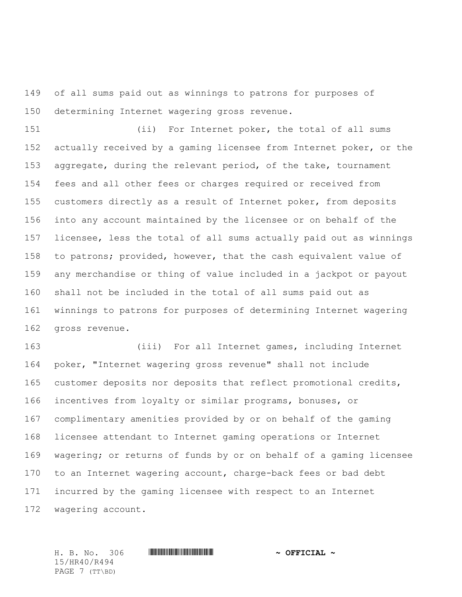of all sums paid out as winnings to patrons for purposes of determining Internet wagering gross revenue.

 (ii) For Internet poker, the total of all sums actually received by a gaming licensee from Internet poker, or the aggregate, during the relevant period, of the take, tournament fees and all other fees or charges required or received from customers directly as a result of Internet poker, from deposits into any account maintained by the licensee or on behalf of the licensee, less the total of all sums actually paid out as winnings to patrons; provided, however, that the cash equivalent value of any merchandise or thing of value included in a jackpot or payout shall not be included in the total of all sums paid out as winnings to patrons for purposes of determining Internet wagering gross revenue.

 (iii) For all Internet games, including Internet poker, "Internet wagering gross revenue" shall not include customer deposits nor deposits that reflect promotional credits, incentives from loyalty or similar programs, bonuses, or complimentary amenities provided by or on behalf of the gaming licensee attendant to Internet gaming operations or Internet wagering; or returns of funds by or on behalf of a gaming licensee to an Internet wagering account, charge-back fees or bad debt incurred by the gaming licensee with respect to an Internet wagering account.

15/HR40/R494 PAGE 7 (TT\BD)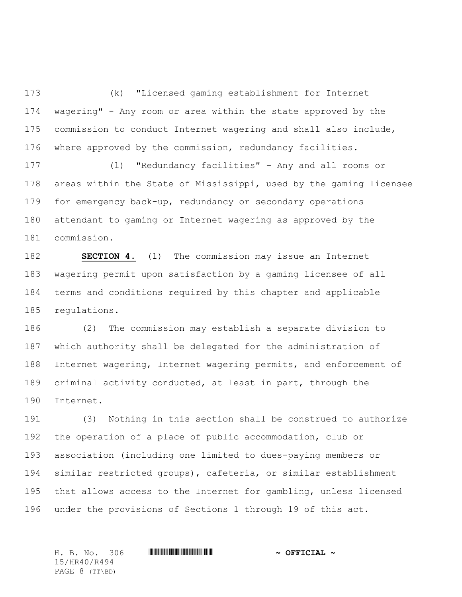(k) "Licensed gaming establishment for Internet wagering" - Any room or area within the state approved by the commission to conduct Internet wagering and shall also include, where approved by the commission, redundancy facilities.

 (l) "Redundancy facilities" – Any and all rooms or areas within the State of Mississippi, used by the gaming licensee for emergency back-up, redundancy or secondary operations attendant to gaming or Internet wagering as approved by the commission.

 **SECTION 4.** (1) The commission may issue an Internet wagering permit upon satisfaction by a gaming licensee of all terms and conditions required by this chapter and applicable regulations.

 (2) The commission may establish a separate division to which authority shall be delegated for the administration of Internet wagering, Internet wagering permits, and enforcement of criminal activity conducted, at least in part, through the Internet.

 (3) Nothing in this section shall be construed to authorize the operation of a place of public accommodation, club or association (including one limited to dues-paying members or similar restricted groups), cafeteria, or similar establishment that allows access to the Internet for gambling, unless licensed under the provisions of Sections 1 through 19 of this act.

15/HR40/R494 PAGE 8 (TT\BD)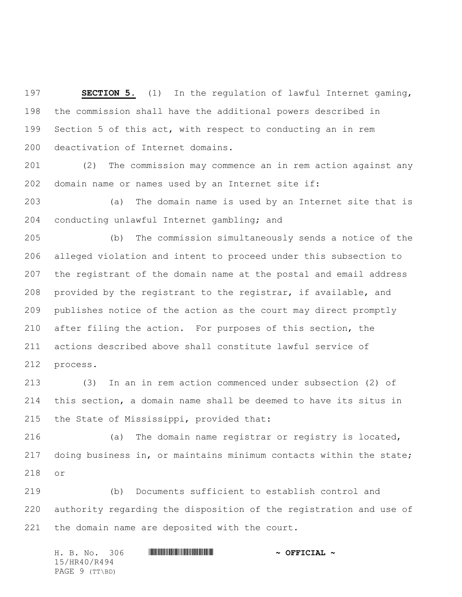**SECTION 5.** (1)In the regulation of lawful Internet gaming, the commission shall have the additional powers described in Section 5 of this act, with respect to conducting an in rem deactivation of Internet domains.

 (2) The commission may commence an in rem action against any domain name or names used by an Internet site if:

 (a) The domain name is used by an Internet site that is conducting unlawful Internet gambling; and

 (b) The commission simultaneously sends a notice of the alleged violation and intent to proceed under this subsection to the registrant of the domain name at the postal and email address provided by the registrant to the registrar, if available, and publishes notice of the action as the court may direct promptly after filing the action. For purposes of this section, the actions described above shall constitute lawful service of process.

 (3) In an in rem action commenced under subsection (2) of this section, a domain name shall be deemed to have its situs in the State of Mississippi, provided that:

 (a) The domain name registrar or registry is located, doing business in, or maintains minimum contacts within the state; or

 (b) Documents sufficient to establish control and authority regarding the disposition of the registration and use of the domain name are deposited with the court.

|              |  | H. B. No. 306  |  |  | $\sim$ OFFICIAL $\sim$ |
|--------------|--|----------------|--|--|------------------------|
| 15/HR40/R494 |  |                |  |  |                        |
|              |  | PAGE 9 (TT\BD) |  |  |                        |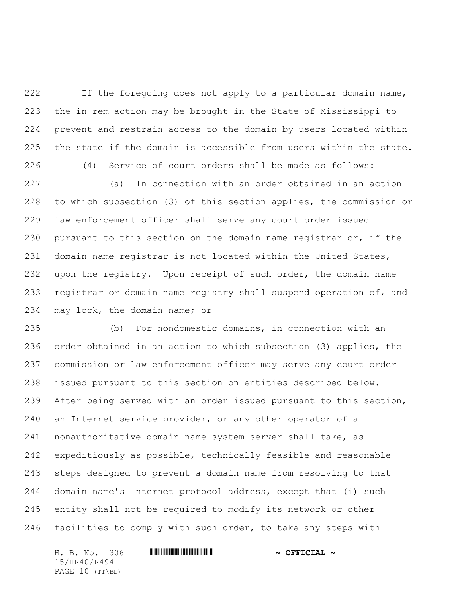If the foregoing does not apply to a particular domain name, the in rem action may be brought in the State of Mississippi to prevent and restrain access to the domain by users located within the state if the domain is accessible from users within the state.

(4) Service of court orders shall be made as follows:

 (a) In connection with an order obtained in an action to which subsection (3) of this section applies, the commission or law enforcement officer shall serve any court order issued pursuant to this section on the domain name registrar or, if the domain name registrar is not located within the United States, upon the registry. Upon receipt of such order, the domain name 233 registrar or domain name registry shall suspend operation of, and may lock, the domain name; or

 (b) For nondomestic domains, in connection with an order obtained in an action to which subsection (3) applies, the commission or law enforcement officer may serve any court order issued pursuant to this section on entities described below. After being served with an order issued pursuant to this section, an Internet service provider, or any other operator of a nonauthoritative domain name system server shall take, as expeditiously as possible, technically feasible and reasonable steps designed to prevent a domain name from resolving to that domain name's Internet protocol address, except that (i) such entity shall not be required to modify its network or other facilities to comply with such order, to take any steps with

H. B. No. 306 \*HR40/R494\* **~ OFFICIAL ~** 15/HR40/R494 PAGE 10 (TT\BD)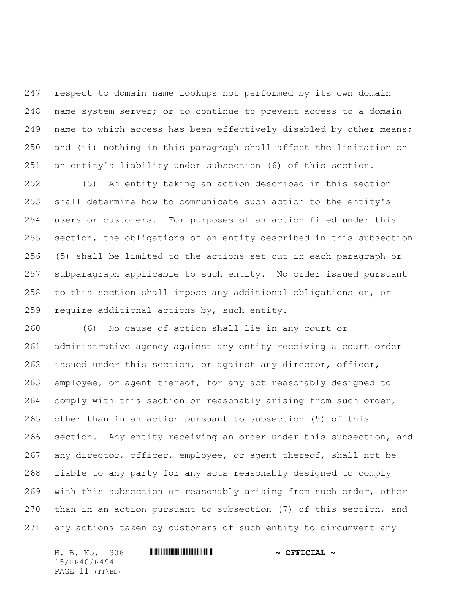respect to domain name lookups not performed by its own domain name system server; or to continue to prevent access to a domain name to which access has been effectively disabled by other means; and (ii) nothing in this paragraph shall affect the limitation on an entity's liability under subsection (6) of this section.

 (5) An entity taking an action described in this section shall determine how to communicate such action to the entity's users or customers. For purposes of an action filed under this section, the obligations of an entity described in this subsection (5) shall be limited to the actions set out in each paragraph or subparagraph applicable to such entity. No order issued pursuant to this section shall impose any additional obligations on, or require additional actions by, such entity.

 (6) No cause of action shall lie in any court or administrative agency against any entity receiving a court order issued under this section, or against any director, officer, employee, or agent thereof, for any act reasonably designed to comply with this section or reasonably arising from such order, other than in an action pursuant to subsection (5) of this section. Any entity receiving an order under this subsection, and any director, officer, employee, or agent thereof, shall not be liable to any party for any acts reasonably designed to comply with this subsection or reasonably arising from such order, other than in an action pursuant to subsection (7) of this section, and any actions taken by customers of such entity to circumvent any

H. B. No. 306 \*HR40/R494\* **~ OFFICIAL ~** 15/HR40/R494 PAGE 11 (TT\BD)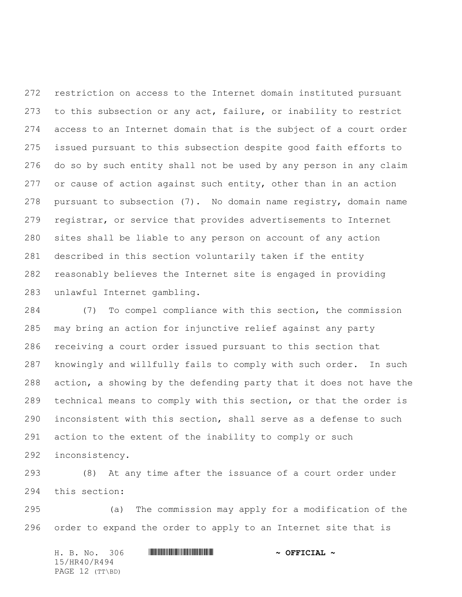restriction on access to the Internet domain instituted pursuant to this subsection or any act, failure, or inability to restrict access to an Internet domain that is the subject of a court order issued pursuant to this subsection despite good faith efforts to do so by such entity shall not be used by any person in any claim or cause of action against such entity, other than in an action pursuant to subsection (7). No domain name registry, domain name registrar, or service that provides advertisements to Internet sites shall be liable to any person on account of any action described in this section voluntarily taken if the entity reasonably believes the Internet site is engaged in providing unlawful Internet gambling.

 (7) To compel compliance with this section, the commission may bring an action for injunctive relief against any party receiving a court order issued pursuant to this section that knowingly and willfully fails to comply with such order. In such action, a showing by the defending party that it does not have the technical means to comply with this section, or that the order is inconsistent with this section, shall serve as a defense to such action to the extent of the inability to comply or such inconsistency.

 (8) At any time after the issuance of a court order under this section:

 (a) The commission may apply for a modification of the order to expand the order to apply to an Internet site that is

H. B. No. 306 \*HR40/R494\* **~ OFFICIAL ~** 15/HR40/R494 PAGE 12 (TT\BD)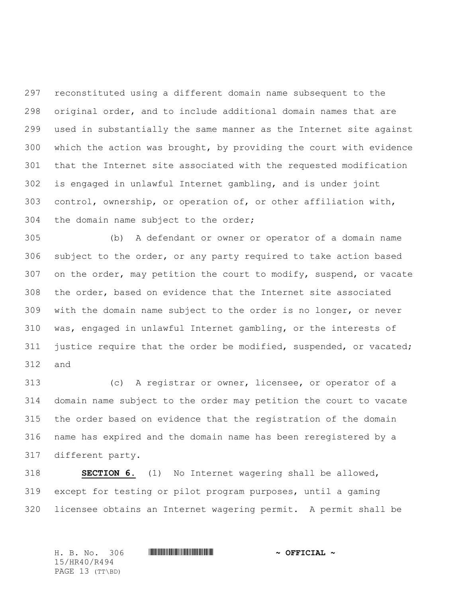reconstituted using a different domain name subsequent to the original order, and to include additional domain names that are used in substantially the same manner as the Internet site against which the action was brought, by providing the court with evidence that the Internet site associated with the requested modification is engaged in unlawful Internet gambling, and is under joint control, ownership, or operation of, or other affiliation with, the domain name subject to the order;

 (b) A defendant or owner or operator of a domain name subject to the order, or any party required to take action based on the order, may petition the court to modify, suspend, or vacate the order, based on evidence that the Internet site associated with the domain name subject to the order is no longer, or never was, engaged in unlawful Internet gambling, or the interests of justice require that the order be modified, suspended, or vacated; and

 (c) A registrar or owner, licensee, or operator of a domain name subject to the order may petition the court to vacate the order based on evidence that the registration of the domain name has expired and the domain name has been reregistered by a different party.

 **SECTION 6.** (1) No Internet wagering shall be allowed, except for testing or pilot program purposes, until a gaming licensee obtains an Internet wagering permit. A permit shall be

H. B. No. 306 \*HR40/R494\* **~ OFFICIAL ~** 15/HR40/R494 PAGE 13 (TT\BD)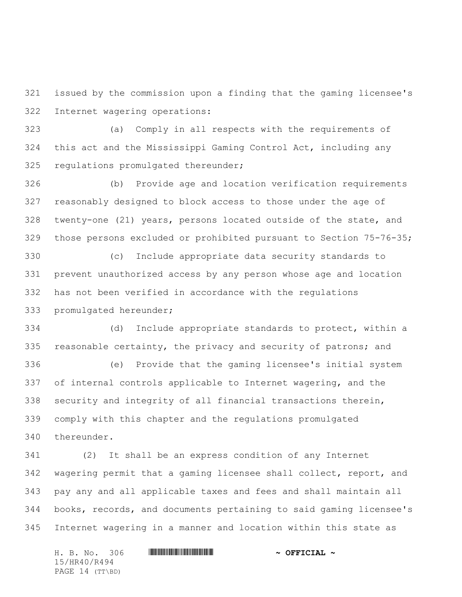issued by the commission upon a finding that the gaming licensee's Internet wagering operations:

 (a) Comply in all respects with the requirements of this act and the Mississippi Gaming Control Act, including any regulations promulgated thereunder;

 (b) Provide age and location verification requirements reasonably designed to block access to those under the age of twenty-one (21) years, persons located outside of the state, and those persons excluded or prohibited pursuant to Section 75-76-35;

 (c) Include appropriate data security standards to prevent unauthorized access by any person whose age and location has not been verified in accordance with the regulations promulgated hereunder;

 (d) Include appropriate standards to protect, within a reasonable certainty, the privacy and security of patrons; and

 (e) Provide that the gaming licensee's initial system of internal controls applicable to Internet wagering, and the security and integrity of all financial transactions therein, comply with this chapter and the regulations promulgated thereunder.

 (2) It shall be an express condition of any Internet wagering permit that a gaming licensee shall collect, report, and pay any and all applicable taxes and fees and shall maintain all books, records, and documents pertaining to said gaming licensee's Internet wagering in a manner and location within this state as

H. B. No. 306 \*HR40/R494\* **~ OFFICIAL ~** 15/HR40/R494 PAGE 14 (TT\BD)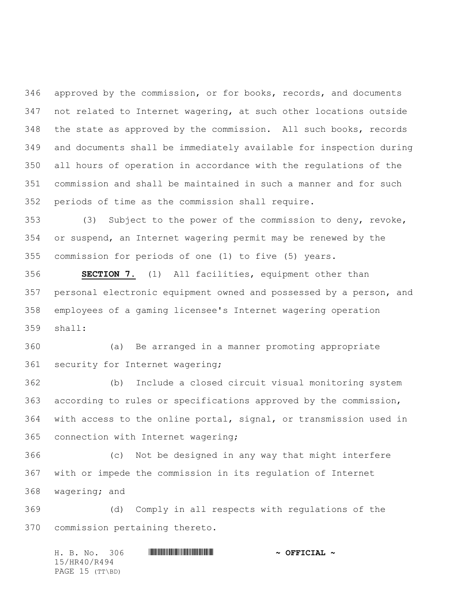approved by the commission, or for books, records, and documents not related to Internet wagering, at such other locations outside the state as approved by the commission. All such books, records and documents shall be immediately available for inspection during all hours of operation in accordance with the regulations of the commission and shall be maintained in such a manner and for such periods of time as the commission shall require.

 (3) Subject to the power of the commission to deny, revoke, or suspend, an Internet wagering permit may be renewed by the commission for periods of one (1) to five (5) years.

 **SECTION 7.** (1) All facilities, equipment other than personal electronic equipment owned and possessed by a person, and employees of a gaming licensee's Internet wagering operation shall:

 (a) Be arranged in a manner promoting appropriate security for Internet wagering;

 (b) Include a closed circuit visual monitoring system according to rules or specifications approved by the commission, with access to the online portal, signal, or transmission used in connection with Internet wagering;

 (c) Not be designed in any way that might interfere with or impede the commission in its regulation of Internet wagering; and

 (d) Comply in all respects with regulations of the commission pertaining thereto.

H. B. No. 306 \*HR40/R494\* **~ OFFICIAL ~** 15/HR40/R494 PAGE 15 (TT\BD)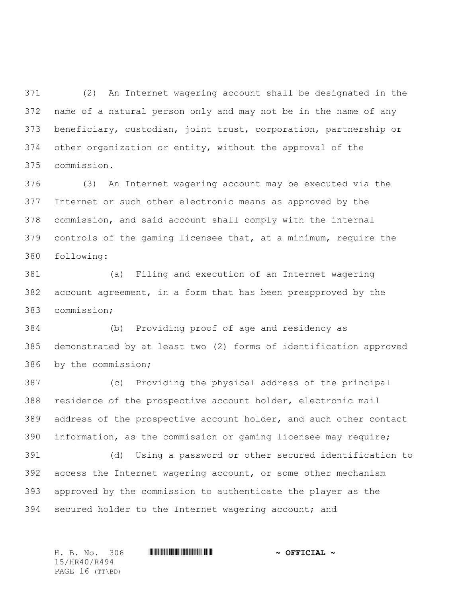(2) An Internet wagering account shall be designated in the name of a natural person only and may not be in the name of any beneficiary, custodian, joint trust, corporation, partnership or other organization or entity, without the approval of the commission.

 (3) An Internet wagering account may be executed via the Internet or such other electronic means as approved by the commission, and said account shall comply with the internal controls of the gaming licensee that, at a minimum, require the following:

 (a) Filing and execution of an Internet wagering account agreement, in a form that has been preapproved by the commission;

 (b) Providing proof of age and residency as demonstrated by at least two (2) forms of identification approved by the commission;

 (c) Providing the physical address of the principal residence of the prospective account holder, electronic mail address of the prospective account holder, and such other contact information, as the commission or gaming licensee may require;

 (d) Using a password or other secured identification to access the Internet wagering account, or some other mechanism approved by the commission to authenticate the player as the 394 secured holder to the Internet wagering account; and

15/HR40/R494 PAGE 16 (TT\BD)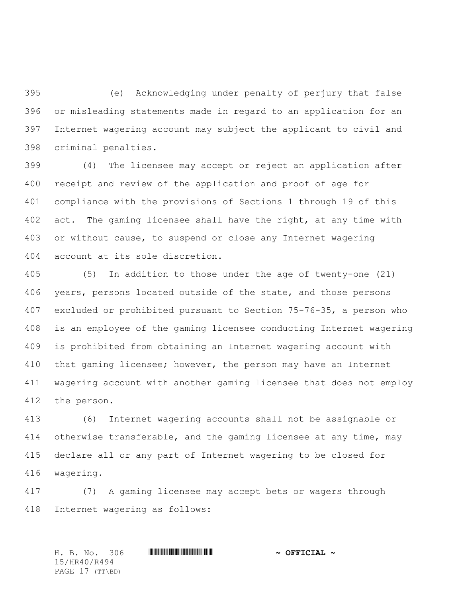(e) Acknowledging under penalty of perjury that false or misleading statements made in regard to an application for an Internet wagering account may subject the applicant to civil and criminal penalties.

 (4) The licensee may accept or reject an application after receipt and review of the application and proof of age for compliance with the provisions of Sections 1 through 19 of this 402 act. The gaming licensee shall have the right, at any time with or without cause, to suspend or close any Internet wagering account at its sole discretion.

 (5) In addition to those under the age of twenty-one (21) 406 years, persons located outside of the state, and those persons excluded or prohibited pursuant to Section 75-76-35, a person who is an employee of the gaming licensee conducting Internet wagering is prohibited from obtaining an Internet wagering account with that gaming licensee; however, the person may have an Internet wagering account with another gaming licensee that does not employ the person.

 (6) Internet wagering accounts shall not be assignable or 414 otherwise transferable, and the gaming licensee at any time, may declare all or any part of Internet wagering to be closed for wagering.

 (7) A gaming licensee may accept bets or wagers through Internet wagering as follows:

H. B. No. 306 \*HR40/R494\* **~ OFFICIAL ~** 15/HR40/R494 PAGE 17 (TT\BD)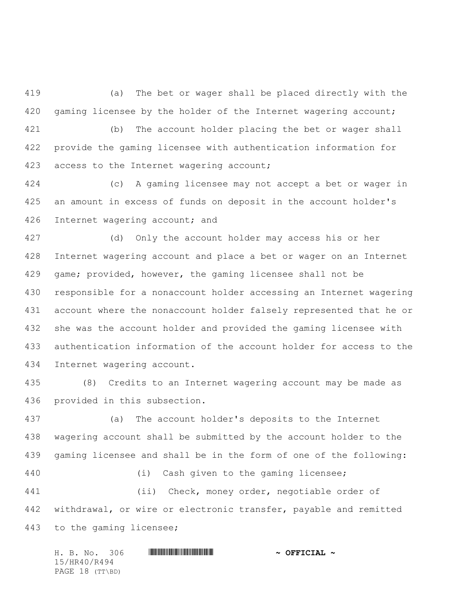(a) The bet or wager shall be placed directly with the 420 gaming licensee by the holder of the Internet wagering account;

 (b) The account holder placing the bet or wager shall provide the gaming licensee with authentication information for 423 access to the Internet wagering account;

 (c) A gaming licensee may not accept a bet or wager in an amount in excess of funds on deposit in the account holder's Internet wagering account; and

 (d) Only the account holder may access his or her Internet wagering account and place a bet or wager on an Internet game; provided, however, the gaming licensee shall not be responsible for a nonaccount holder accessing an Internet wagering account where the nonaccount holder falsely represented that he or she was the account holder and provided the gaming licensee with authentication information of the account holder for access to the Internet wagering account.

 (8) Credits to an Internet wagering account may be made as provided in this subsection.

 (a) The account holder's deposits to the Internet wagering account shall be submitted by the account holder to the gaming licensee and shall be in the form of one of the following:

 (ii) Check, money order, negotiable order of 442 withdrawal, or wire or electronic transfer, payable and remitted to the gaming licensee;

|              |  |  | H. B. No. 306   |  | $\sim$ OFFICIAL $\sim$ |  |  |
|--------------|--|--|-----------------|--|------------------------|--|--|
| 15/HR40/R494 |  |  |                 |  |                        |  |  |
|              |  |  | PAGE 18 (TT\BD) |  |                        |  |  |

(i) Cash given to the gaming licensee;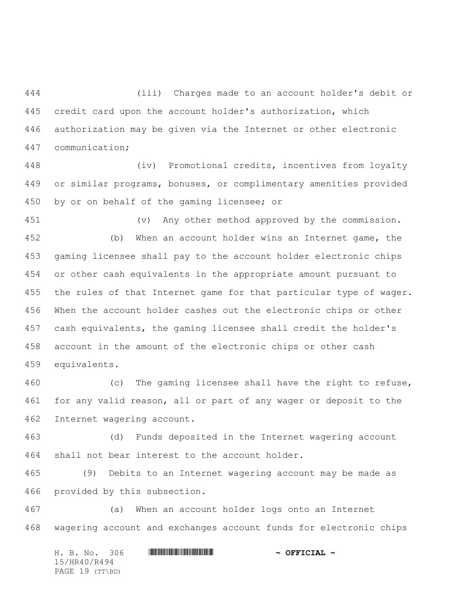(iii) Charges made to an account holder's debit or credit card upon the account holder's authorization, which authorization may be given via the Internet or other electronic communication;

 (iv) Promotional credits, incentives from loyalty or similar programs, bonuses, or complimentary amenities provided by or on behalf of the gaming licensee; or

 (v) Any other method approved by the commission. (b) When an account holder wins an Internet game, the gaming licensee shall pay to the account holder electronic chips or other cash equivalents in the appropriate amount pursuant to 455 the rules of that Internet game for that particular type of wager. When the account holder cashes out the electronic chips or other cash equivalents, the gaming licensee shall credit the holder's account in the amount of the electronic chips or other cash equivalents.

 (c) The gaming licensee shall have the right to refuse, for any valid reason, all or part of any wager or deposit to the Internet wagering account.

 (d) Funds deposited in the Internet wagering account shall not bear interest to the account holder.

 (9) Debits to an Internet wagering account may be made as provided by this subsection.

 (a) When an account holder logs onto an Internet wagering account and exchanges account funds for electronic chips

H. B. No. 306 \*HR40/R494\* **~ OFFICIAL ~** 15/HR40/R494 PAGE 19 (TT\BD)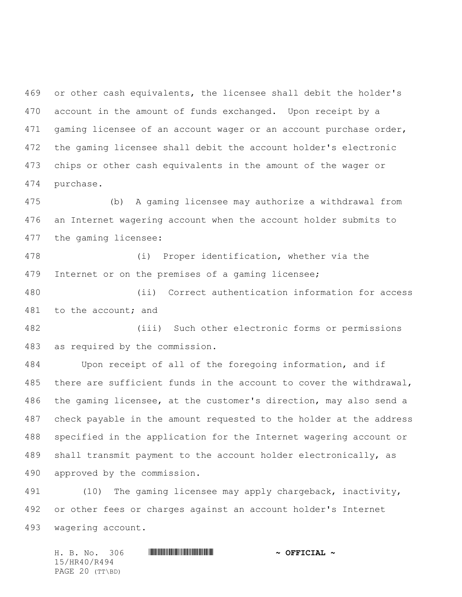or other cash equivalents, the licensee shall debit the holder's account in the amount of funds exchanged. Upon receipt by a 471 gaming licensee of an account wager or an account purchase order, the gaming licensee shall debit the account holder's electronic chips or other cash equivalents in the amount of the wager or purchase.

 (b) A gaming licensee may authorize a withdrawal from an Internet wagering account when the account holder submits to the gaming licensee:

 (i) Proper identification, whether via the Internet or on the premises of a gaming licensee;

 (ii) Correct authentication information for access 481 to the account; and

 (iii) Such other electronic forms or permissions as required by the commission.

 Upon receipt of all of the foregoing information, and if there are sufficient funds in the account to cover the withdrawal, the gaming licensee, at the customer's direction, may also send a check payable in the amount requested to the holder at the address specified in the application for the Internet wagering account or shall transmit payment to the account holder electronically, as approved by the commission.

 (10) The gaming licensee may apply chargeback, inactivity, or other fees or charges against an account holder's Internet wagering account.

H. B. No. 306 \*HR40/R494\* **~ OFFICIAL ~** 15/HR40/R494 PAGE 20 (TT\BD)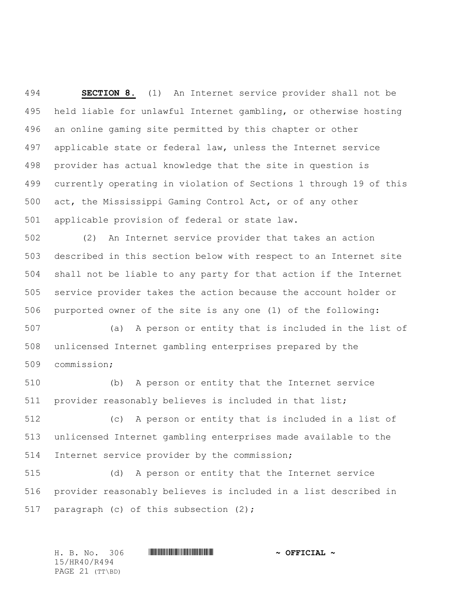**SECTION 8.** (1) An Internet service provider shall not be held liable for unlawful Internet gambling, or otherwise hosting an online gaming site permitted by this chapter or other applicable state or federal law, unless the Internet service provider has actual knowledge that the site in question is currently operating in violation of Sections 1 through 19 of this act, the Mississippi Gaming Control Act, or of any other applicable provision of federal or state law.

 (2) An Internet service provider that takes an action described in this section below with respect to an Internet site shall not be liable to any party for that action if the Internet service provider takes the action because the account holder or purported owner of the site is any one (1) of the following:

 (a) A person or entity that is included in the list of unlicensed Internet gambling enterprises prepared by the commission;

 (b) A person or entity that the Internet service provider reasonably believes is included in that list;

 (c) A person or entity that is included in a list of unlicensed Internet gambling enterprises made available to the Internet service provider by the commission;

 (d) A person or entity that the Internet service provider reasonably believes is included in a list described in 517 paragraph (c) of this subsection (2);

H. B. No. 306 \*HR40/R494\* **~ OFFICIAL ~** 15/HR40/R494 PAGE 21 (TT\BD)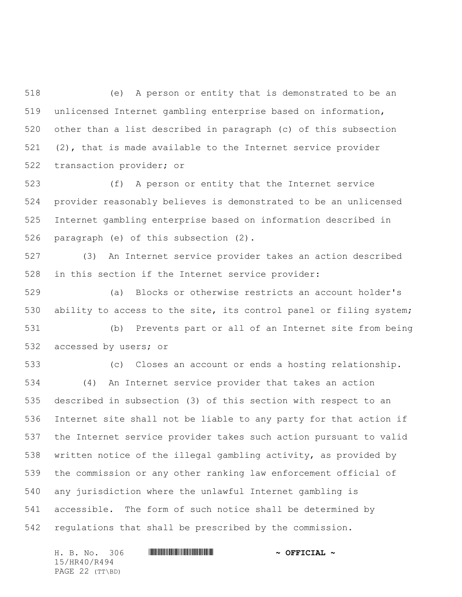(e) A person or entity that is demonstrated to be an unlicensed Internet gambling enterprise based on information, other than a list described in paragraph (c) of this subsection (2), that is made available to the Internet service provider transaction provider; or

 (f) A person or entity that the Internet service provider reasonably believes is demonstrated to be an unlicensed Internet gambling enterprise based on information described in paragraph (e) of this subsection (2).

 (3) An Internet service provider takes an action described in this section if the Internet service provider:

 (a) Blocks or otherwise restricts an account holder's ability to access to the site, its control panel or filing system; (b) Prevents part or all of an Internet site from being

accessed by users; or

 (c) Closes an account or ends a hosting relationship. (4) An Internet service provider that takes an action described in subsection (3) of this section with respect to an Internet site shall not be liable to any party for that action if the Internet service provider takes such action pursuant to valid written notice of the illegal gambling activity, as provided by the commission or any other ranking law enforcement official of any jurisdiction where the unlawful Internet gambling is accessible. The form of such notice shall be determined by regulations that shall be prescribed by the commission.

H. B. No. 306 \*HR40/R494\* **~ OFFICIAL ~** 15/HR40/R494 PAGE 22 (TT\BD)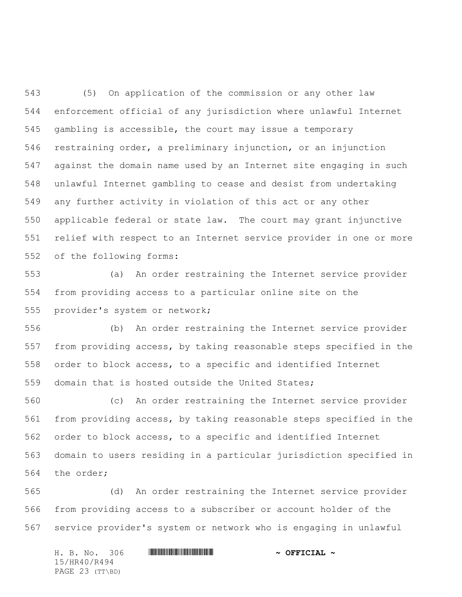(5) On application of the commission or any other law enforcement official of any jurisdiction where unlawful Internet gambling is accessible, the court may issue a temporary restraining order, a preliminary injunction, or an injunction against the domain name used by an Internet site engaging in such unlawful Internet gambling to cease and desist from undertaking any further activity in violation of this act or any other applicable federal or state law. The court may grant injunctive relief with respect to an Internet service provider in one or more of the following forms:

 (a) An order restraining the Internet service provider from providing access to a particular online site on the provider's system or network;

 (b) An order restraining the Internet service provider from providing access, by taking reasonable steps specified in the order to block access, to a specific and identified Internet domain that is hosted outside the United States;

 (c) An order restraining the Internet service provider from providing access, by taking reasonable steps specified in the order to block access, to a specific and identified Internet domain to users residing in a particular jurisdiction specified in the order;

 (d) An order restraining the Internet service provider from providing access to a subscriber or account holder of the service provider's system or network who is engaging in unlawful

|              |  | H. B. No. 306   |  |  |  | $\sim$ OFFICIAL $\sim$ |
|--------------|--|-----------------|--|--|--|------------------------|
| 15/HR40/R494 |  |                 |  |  |  |                        |
|              |  | PAGE 23 (TT\BD) |  |  |  |                        |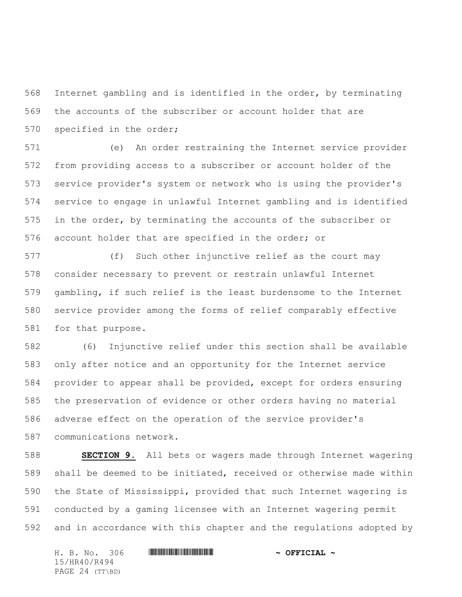Internet gambling and is identified in the order, by terminating the accounts of the subscriber or account holder that are specified in the order;

 (e) An order restraining the Internet service provider from providing access to a subscriber or account holder of the service provider's system or network who is using the provider's service to engage in unlawful Internet gambling and is identified in the order, by terminating the accounts of the subscriber or account holder that are specified in the order; or

 (f) Such other injunctive relief as the court may consider necessary to prevent or restrain unlawful Internet gambling, if such relief is the least burdensome to the Internet service provider among the forms of relief comparably effective for that purpose.

 (6) Injunctive relief under this section shall be available only after notice and an opportunity for the Internet service provider to appear shall be provided, except for orders ensuring the preservation of evidence or other orders having no material adverse effect on the operation of the service provider's communications network.

 **SECTION 9.** All bets or wagers made through Internet wagering shall be deemed to be initiated, received or otherwise made within the State of Mississippi, provided that such Internet wagering is conducted by a gaming licensee with an Internet wagering permit and in accordance with this chapter and the regulations adopted by

H. B. No. 306 \*HR40/R494\* **~ OFFICIAL ~** 15/HR40/R494 PAGE 24 (TT\BD)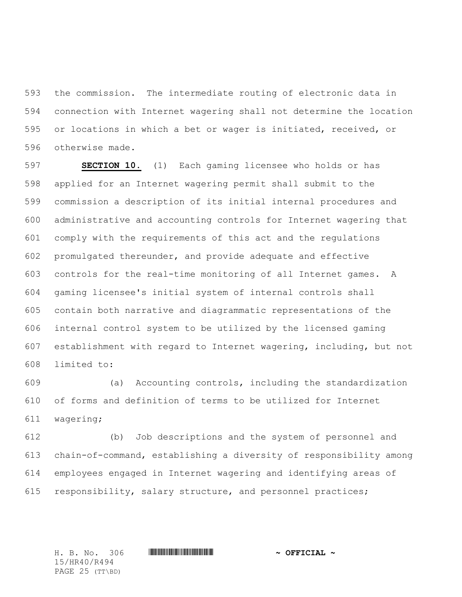the commission. The intermediate routing of electronic data in connection with Internet wagering shall not determine the location or locations in which a bet or wager is initiated, received, or otherwise made.

 **SECTION 10.** (1) Each gaming licensee who holds or has applied for an Internet wagering permit shall submit to the commission a description of its initial internal procedures and administrative and accounting controls for Internet wagering that comply with the requirements of this act and the regulations promulgated thereunder, and provide adequate and effective controls for the real-time monitoring of all Internet games. A gaming licensee's initial system of internal controls shall contain both narrative and diagrammatic representations of the internal control system to be utilized by the licensed gaming establishment with regard to Internet wagering, including, but not limited to:

 (a) Accounting controls, including the standardization of forms and definition of terms to be utilized for Internet wagering;

 (b) Job descriptions and the system of personnel and chain-of-command, establishing a diversity of responsibility among employees engaged in Internet wagering and identifying areas of responsibility, salary structure, and personnel practices;

15/HR40/R494 PAGE 25 (TT\BD)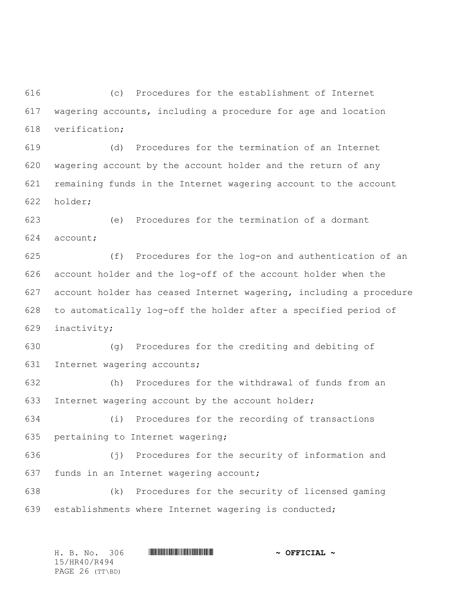(c) Procedures for the establishment of Internet wagering accounts, including a procedure for age and location verification;

 (d) Procedures for the termination of an Internet wagering account by the account holder and the return of any remaining funds in the Internet wagering account to the account holder;

 (e) Procedures for the termination of a dormant account;

 (f) Procedures for the log-on and authentication of an account holder and the log-off of the account holder when the account holder has ceased Internet wagering, including a procedure to automatically log-off the holder after a specified period of inactivity;

 (g) Procedures for the crediting and debiting of Internet wagering accounts;

 (h) Procedures for the withdrawal of funds from an Internet wagering account by the account holder;

 (i) Procedures for the recording of transactions pertaining to Internet wagering;

 (j) Procedures for the security of information and funds in an Internet wagering account;

 (k) Procedures for the security of licensed gaming establishments where Internet wagering is conducted;

H. B. No. 306 \*HR40/R494\* **~ OFFICIAL ~** 15/HR40/R494 PAGE 26 (TT\BD)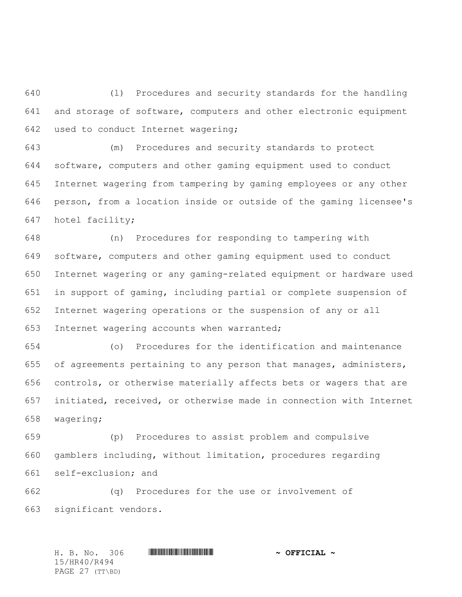(l) Procedures and security standards for the handling and storage of software, computers and other electronic equipment used to conduct Internet wagering;

 (m) Procedures and security standards to protect software, computers and other gaming equipment used to conduct Internet wagering from tampering by gaming employees or any other person, from a location inside or outside of the gaming licensee's hotel facility;

 (n) Procedures for responding to tampering with software, computers and other gaming equipment used to conduct Internet wagering or any gaming-related equipment or hardware used in support of gaming, including partial or complete suspension of Internet wagering operations or the suspension of any or all Internet wagering accounts when warranted;

 (o) Procedures for the identification and maintenance of agreements pertaining to any person that manages, administers, controls, or otherwise materially affects bets or wagers that are initiated, received, or otherwise made in connection with Internet wagering;

 (p) Procedures to assist problem and compulsive gamblers including, without limitation, procedures regarding self-exclusion; and

 (q) Procedures for the use or involvement of significant vendors.

H. B. No. 306 \*HR40/R494\* **~ OFFICIAL ~** 15/HR40/R494 PAGE 27 (TT\BD)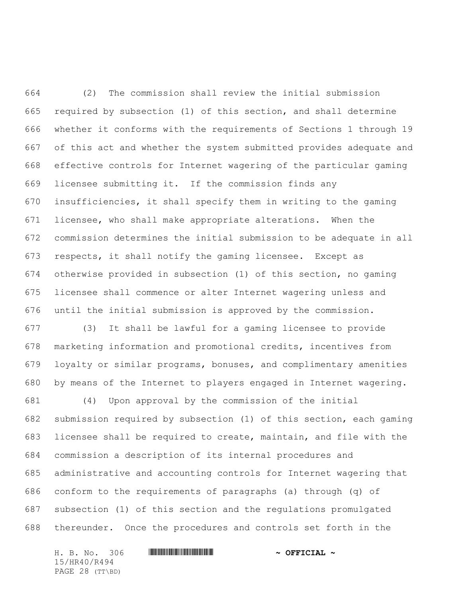(2) The commission shall review the initial submission required by subsection (1) of this section, and shall determine whether it conforms with the requirements of Sections 1 through 19 of this act and whether the system submitted provides adequate and effective controls for Internet wagering of the particular gaming licensee submitting it. If the commission finds any insufficiencies, it shall specify them in writing to the gaming licensee, who shall make appropriate alterations. When the commission determines the initial submission to be adequate in all respects, it shall notify the gaming licensee. Except as otherwise provided in subsection (1) of this section, no gaming licensee shall commence or alter Internet wagering unless and until the initial submission is approved by the commission.

 (3) It shall be lawful for a gaming licensee to provide marketing information and promotional credits, incentives from loyalty or similar programs, bonuses, and complimentary amenities by means of the Internet to players engaged in Internet wagering.

 (4) Upon approval by the commission of the initial submission required by subsection (1) of this section, each gaming licensee shall be required to create, maintain, and file with the commission a description of its internal procedures and administrative and accounting controls for Internet wagering that conform to the requirements of paragraphs (a) through (q) of subsection (1) of this section and the regulations promulgated thereunder. Once the procedures and controls set forth in the

H. B. No. 306 \*HR40/R494\* **~ OFFICIAL ~** 15/HR40/R494 PAGE 28 (TT\BD)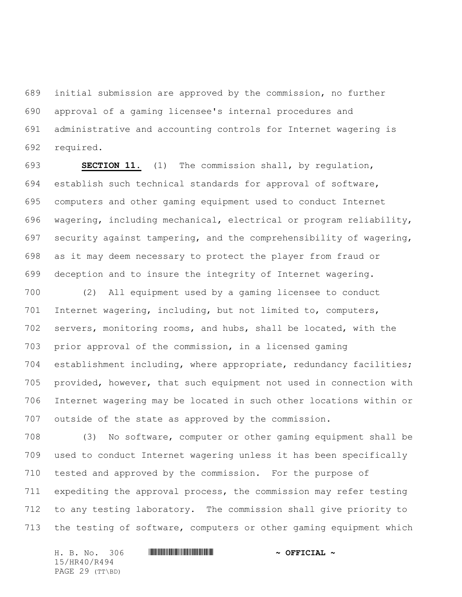initial submission are approved by the commission, no further approval of a gaming licensee's internal procedures and administrative and accounting controls for Internet wagering is required.

 **SECTION 11.** (1) The commission shall, by regulation, establish such technical standards for approval of software, computers and other gaming equipment used to conduct Internet wagering, including mechanical, electrical or program reliability, security against tampering, and the comprehensibility of wagering, as it may deem necessary to protect the player from fraud or deception and to insure the integrity of Internet wagering.

 (2) All equipment used by a gaming licensee to conduct Internet wagering, including, but not limited to, computers, servers, monitoring rooms, and hubs, shall be located, with the prior approval of the commission, in a licensed gaming establishment including, where appropriate, redundancy facilities; provided, however, that such equipment not used in connection with Internet wagering may be located in such other locations within or outside of the state as approved by the commission.

 (3) No software, computer or other gaming equipment shall be used to conduct Internet wagering unless it has been specifically tested and approved by the commission. For the purpose of expediting the approval process, the commission may refer testing to any testing laboratory. The commission shall give priority to the testing of software, computers or other gaming equipment which

H. B. No. 306 \*HR40/R494\* **~ OFFICIAL ~** 15/HR40/R494 PAGE 29 (TT\BD)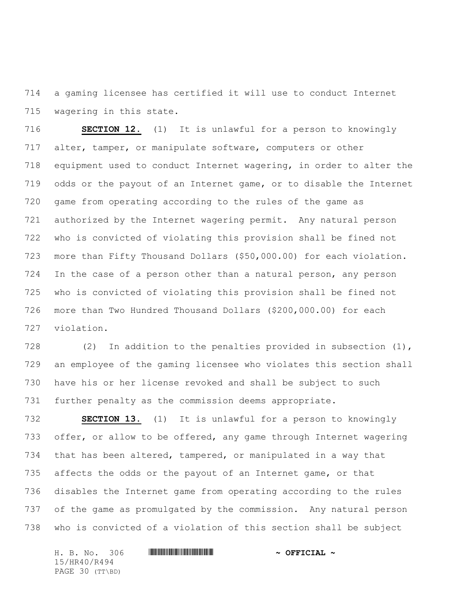a gaming licensee has certified it will use to conduct Internet wagering in this state.

 **SECTION 12.** (1) It is unlawful for a person to knowingly alter, tamper, or manipulate software, computers or other equipment used to conduct Internet wagering, in order to alter the odds or the payout of an Internet game, or to disable the Internet game from operating according to the rules of the game as authorized by the Internet wagering permit. Any natural person who is convicted of violating this provision shall be fined not more than Fifty Thousand Dollars (\$50,000.00) for each violation. In the case of a person other than a natural person, any person who is convicted of violating this provision shall be fined not more than Two Hundred Thousand Dollars (\$200,000.00) for each violation.

 (2) In addition to the penalties provided in subsection (1), an employee of the gaming licensee who violates this section shall have his or her license revoked and shall be subject to such further penalty as the commission deems appropriate.

 **SECTION 13.** (1) It is unlawful for a person to knowingly 733 offer, or allow to be offered, any game through Internet wagering that has been altered, tampered, or manipulated in a way that 735 affects the odds or the payout of an Internet game, or that disables the Internet game from operating according to the rules of the game as promulgated by the commission. Any natural person who is convicted of a violation of this section shall be subject

H. B. No. 306 \*HR40/R494\* **~ OFFICIAL ~** 15/HR40/R494 PAGE 30 (TT\BD)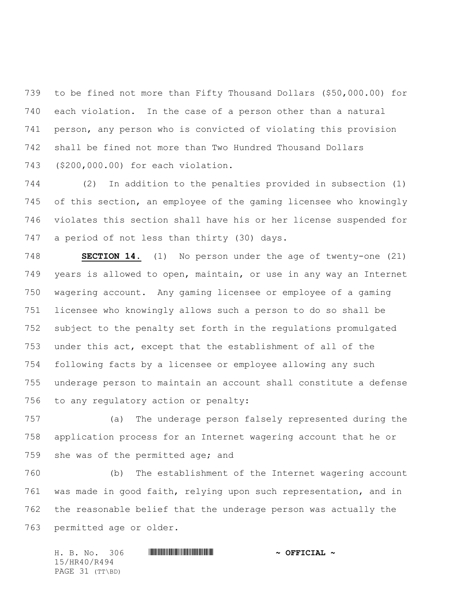to be fined not more than Fifty Thousand Dollars (\$50,000.00) for each violation. In the case of a person other than a natural person, any person who is convicted of violating this provision shall be fined not more than Two Hundred Thousand Dollars (\$200,000.00) for each violation.

 (2) In addition to the penalties provided in subsection (1) of this section, an employee of the gaming licensee who knowingly violates this section shall have his or her license suspended for a period of not less than thirty (30) days.

 **SECTION 14.** (1) No person under the age of twenty-one (21) years is allowed to open, maintain, or use in any way an Internet wagering account. Any gaming licensee or employee of a gaming licensee who knowingly allows such a person to do so shall be subject to the penalty set forth in the regulations promulgated under this act, except that the establishment of all of the following facts by a licensee or employee allowing any such underage person to maintain an account shall constitute a defense to any regulatory action or penalty:

 (a) The underage person falsely represented during the application process for an Internet wagering account that he or she was of the permitted age; and

 (b) The establishment of the Internet wagering account was made in good faith, relying upon such representation, and in the reasonable belief that the underage person was actually the permitted age or older.

H. B. No. 306 \*HR40/R494\* **~ OFFICIAL ~** 15/HR40/R494 PAGE 31 (TT\BD)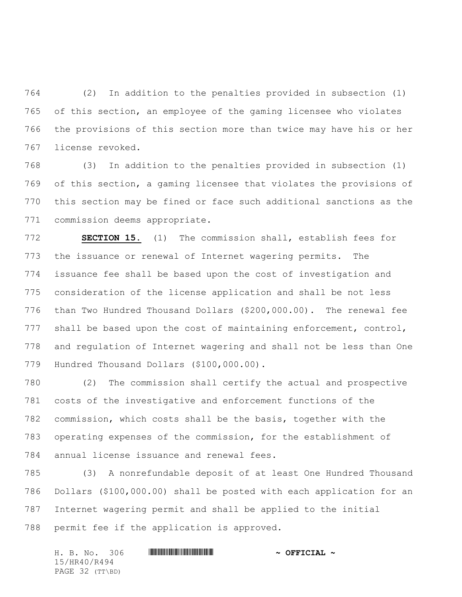(2) In addition to the penalties provided in subsection (1) of this section, an employee of the gaming licensee who violates the provisions of this section more than twice may have his or her license revoked.

 (3) In addition to the penalties provided in subsection (1) of this section, a gaming licensee that violates the provisions of this section may be fined or face such additional sanctions as the commission deems appropriate.

 **SECTION 15.** (1) The commission shall, establish fees for the issuance or renewal of Internet wagering permits. The issuance fee shall be based upon the cost of investigation and consideration of the license application and shall be not less than Two Hundred Thousand Dollars (\$200,000.00). The renewal fee 777 shall be based upon the cost of maintaining enforcement, control, and regulation of Internet wagering and shall not be less than One Hundred Thousand Dollars (\$100,000.00).

 (2) The commission shall certify the actual and prospective costs of the investigative and enforcement functions of the commission, which costs shall be the basis, together with the operating expenses of the commission, for the establishment of annual license issuance and renewal fees.

 (3) A nonrefundable deposit of at least One Hundred Thousand Dollars (\$100,000.00) shall be posted with each application for an Internet wagering permit and shall be applied to the initial permit fee if the application is approved.

H. B. No. 306 \*HR40/R494\* **~ OFFICIAL ~** 15/HR40/R494 PAGE 32 (TT\BD)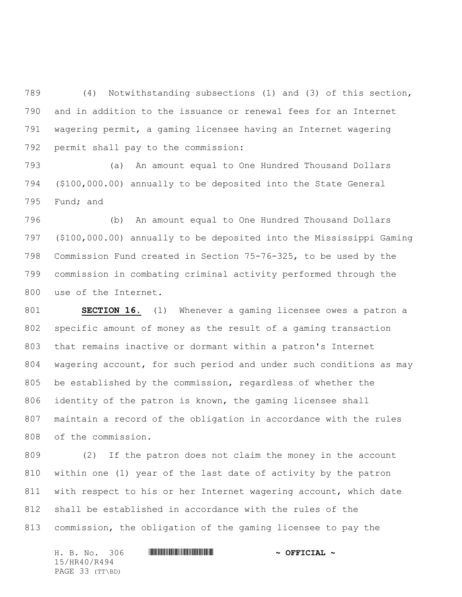(4) Notwithstanding subsections (1) and (3) of this section, and in addition to the issuance or renewal fees for an Internet wagering permit, a gaming licensee having an Internet wagering permit shall pay to the commission:

 (a) An amount equal to One Hundred Thousand Dollars (\$100,000.00) annually to be deposited into the State General Fund; and

 (b) An amount equal to One Hundred Thousand Dollars (\$100,000.00) annually to be deposited into the Mississippi Gaming Commission Fund created in Section 75-76-325, to be used by the commission in combating criminal activity performed through the use of the Internet.

 **SECTION 16.** (1) Whenever a gaming licensee owes a patron a specific amount of money as the result of a gaming transaction that remains inactive or dormant within a patron's Internet wagering account, for such period and under such conditions as may be established by the commission, regardless of whether the identity of the patron is known, the gaming licensee shall maintain a record of the obligation in accordance with the rules of the commission.

 (2) If the patron does not claim the money in the account within one (1) year of the last date of activity by the patron with respect to his or her Internet wagering account, which date shall be established in accordance with the rules of the commission, the obligation of the gaming licensee to pay the

H. B. No. 306 \*HR40/R494\* **~ OFFICIAL ~** 15/HR40/R494 PAGE 33 (TT\BD)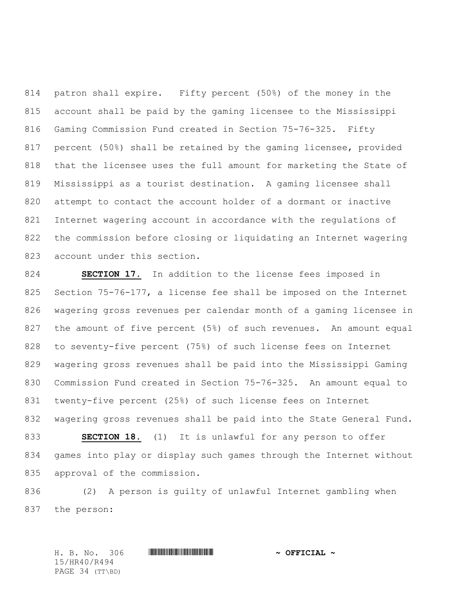patron shall expire. Fifty percent (50%) of the money in the account shall be paid by the gaming licensee to the Mississippi Gaming Commission Fund created in Section 75-76-325. Fifty percent (50%) shall be retained by the gaming licensee, provided that the licensee uses the full amount for marketing the State of Mississippi as a tourist destination. A gaming licensee shall attempt to contact the account holder of a dormant or inactive Internet wagering account in accordance with the regulations of the commission before closing or liquidating an Internet wagering account under this section.

 **SECTION 17.** In addition to the license fees imposed in Section 75-76-177, a license fee shall be imposed on the Internet wagering gross revenues per calendar month of a gaming licensee in the amount of five percent (5%) of such revenues. An amount equal to seventy-five percent (75%) of such license fees on Internet wagering gross revenues shall be paid into the Mississippi Gaming Commission Fund created in Section 75-76-325. An amount equal to twenty-five percent (25%) of such license fees on Internet wagering gross revenues shall be paid into the State General Fund. **SECTION 18.** (1) It is unlawful for any person to offer games into play or display such games through the Internet without approval of the commission.

 (2) A person is guilty of unlawful Internet gambling when the person:

15/HR40/R494 PAGE 34 (TT\BD)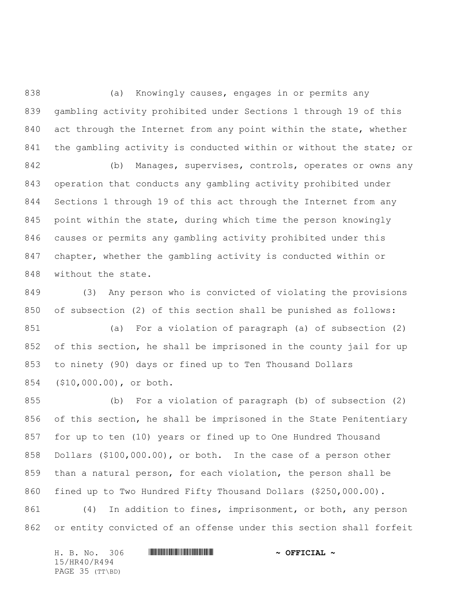838 (a) Knowingly causes, engages in or permits any gambling activity prohibited under Sections 1 through 19 of this 840 act through the Internet from any point within the state, whether 841 the gambling activity is conducted within or without the state; or

 (b) Manages, supervises, controls, operates or owns any operation that conducts any gambling activity prohibited under Sections 1 through 19 of this act through the Internet from any point within the state, during which time the person knowingly causes or permits any gambling activity prohibited under this chapter, whether the gambling activity is conducted within or without the state.

 (3) Any person who is convicted of violating the provisions of subsection (2) of this section shall be punished as follows:

 (a) For a violation of paragraph (a) of subsection (2) of this section, he shall be imprisoned in the county jail for up to ninety (90) days or fined up to Ten Thousand Dollars (\$10,000.00), or both.

 (b) For a violation of paragraph (b) of subsection (2) of this section, he shall be imprisoned in the State Penitentiary for up to ten (10) years or fined up to One Hundred Thousand Dollars (\$100,000.00), or both. In the case of a person other than a natural person, for each violation, the person shall be fined up to Two Hundred Fifty Thousand Dollars (\$250,000.00).

 (4) In addition to fines, imprisonment, or both, any person or entity convicted of an offense under this section shall forfeit

H. B. No. 306 \*HR40/R494\* **~ OFFICIAL ~** 15/HR40/R494 PAGE 35 (TT\BD)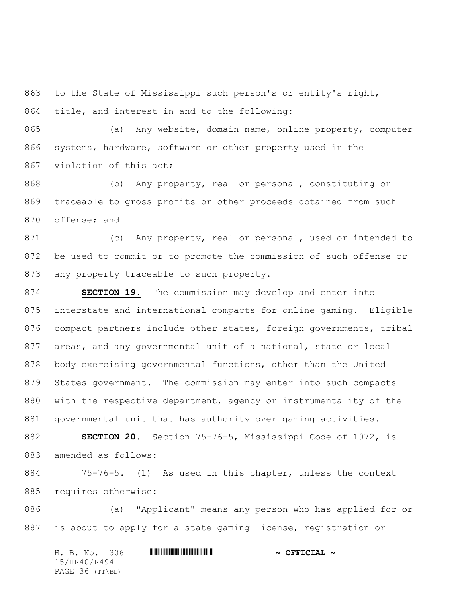to the State of Mississippi such person's or entity's right, title, and interest in and to the following:

 (a) Any website, domain name, online property, computer systems, hardware, software or other property used in the 867 violation of this act;

 (b) Any property, real or personal, constituting or traceable to gross profits or other proceeds obtained from such offense; and

871 (c) Any property, real or personal, used or intended to be used to commit or to promote the commission of such offense or 873 any property traceable to such property.

 **SECTION 19.** The commission may develop and enter into interstate and international compacts for online gaming. Eligible compact partners include other states, foreign governments, tribal areas, and any governmental unit of a national, state or local body exercising governmental functions, other than the United States government. The commission may enter into such compacts with the respective department, agency or instrumentality of the governmental unit that has authority over gaming activities.

 **SECTION 20.** Section 75-76-5, Mississippi Code of 1972, is amended as follows:

 75-76-5. (1) As used in this chapter, unless the context requires otherwise:

 (a) "Applicant" means any person who has applied for or is about to apply for a state gaming license, registration or

H. B. No. 306 \*HR40/R494\* **~ OFFICIAL ~** 15/HR40/R494 PAGE 36 (TT\BD)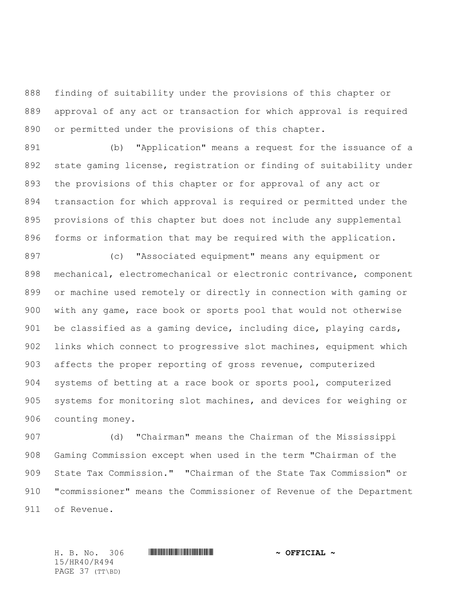finding of suitability under the provisions of this chapter or approval of any act or transaction for which approval is required or permitted under the provisions of this chapter.

 (b) "Application" means a request for the issuance of a state gaming license, registration or finding of suitability under the provisions of this chapter or for approval of any act or transaction for which approval is required or permitted under the provisions of this chapter but does not include any supplemental forms or information that may be required with the application.

 (c) "Associated equipment" means any equipment or mechanical, electromechanical or electronic contrivance, component or machine used remotely or directly in connection with gaming or with any game, race book or sports pool that would not otherwise be classified as a gaming device, including dice, playing cards, links which connect to progressive slot machines, equipment which affects the proper reporting of gross revenue, computerized systems of betting at a race book or sports pool, computerized systems for monitoring slot machines, and devices for weighing or counting money.

 (d) "Chairman" means the Chairman of the Mississippi Gaming Commission except when used in the term "Chairman of the State Tax Commission." "Chairman of the State Tax Commission" or "commissioner" means the Commissioner of Revenue of the Department of Revenue.

15/HR40/R494 PAGE 37 (TT\BD)

H. B. No. 306 \*HR40/R494\* **~ OFFICIAL ~**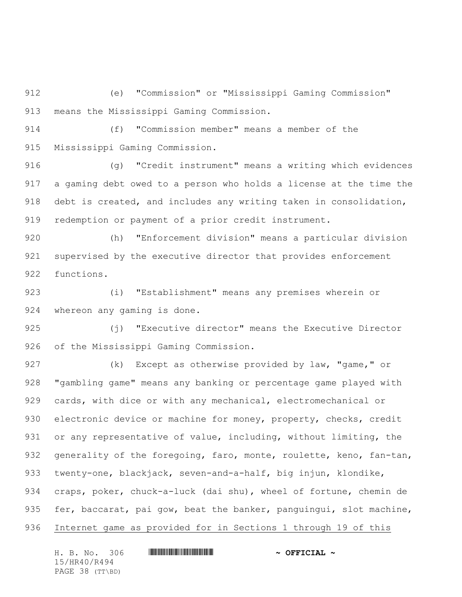(e) "Commission" or "Mississippi Gaming Commission" means the Mississippi Gaming Commission.

 (f) "Commission member" means a member of the Mississippi Gaming Commission.

 (g) "Credit instrument" means a writing which evidences a gaming debt owed to a person who holds a license at the time the debt is created, and includes any writing taken in consolidation, redemption or payment of a prior credit instrument.

 (h) "Enforcement division" means a particular division supervised by the executive director that provides enforcement functions.

 (i) "Establishment" means any premises wherein or whereon any gaming is done.

 (j) "Executive director" means the Executive Director of the Mississippi Gaming Commission.

927 (k) Except as otherwise provided by law, "game," or "gambling game" means any banking or percentage game played with cards, with dice or with any mechanical, electromechanical or 930 electronic device or machine for money, property, checks, credit 931 or any representative of value, including, without limiting, the 932 generality of the foregoing, faro, monte, roulette, keno, fan-tan, twenty-one, blackjack, seven-and-a-half, big injun, klondike, craps, poker, chuck-a-luck (dai shu), wheel of fortune, chemin de 935 fer, baccarat, pai gow, beat the banker, panguingui, slot machine, Internet game as provided for in Sections 1 through 19 of this

H. B. No. 306 \*HR40/R494\* **~ OFFICIAL ~** 15/HR40/R494 PAGE 38 (TT\BD)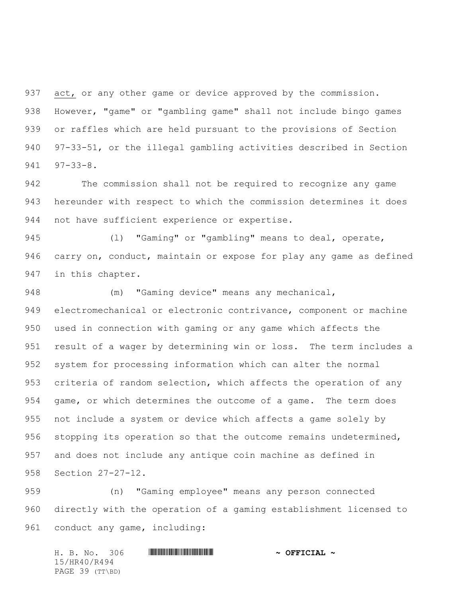act, or any other game or device approved by the commission. However, "game" or "gambling game" shall not include bingo games or raffles which are held pursuant to the provisions of Section 97-33-51, or the illegal gambling activities described in Section 97-33-8.

 The commission shall not be required to recognize any game hereunder with respect to which the commission determines it does not have sufficient experience or expertise.

 (l) "Gaming" or "gambling" means to deal, operate, carry on, conduct, maintain or expose for play any game as defined in this chapter.

 (m) "Gaming device" means any mechanical, electromechanical or electronic contrivance, component or machine used in connection with gaming or any game which affects the result of a wager by determining win or loss. The term includes a system for processing information which can alter the normal criteria of random selection, which affects the operation of any game, or which determines the outcome of a game. The term does not include a system or device which affects a game solely by stopping its operation so that the outcome remains undetermined, and does not include any antique coin machine as defined in Section 27-27-12.

 (n) "Gaming employee" means any person connected directly with the operation of a gaming establishment licensed to conduct any game, including:

H. B. No. 306 \*HR40/R494\* **~ OFFICIAL ~** 15/HR40/R494 PAGE 39 (TT\BD)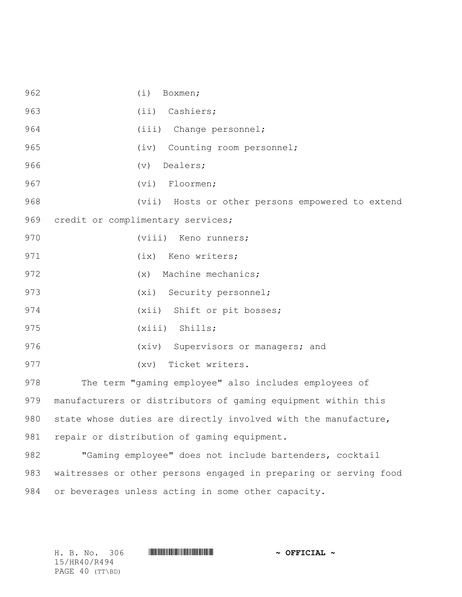962 (i) Boxmen; 963 (ii) Cashiers; 964 (iii) Change personnel; 965 (iv) Counting room personnel; 966 (v) Dealers; 967 (vi) Floormen; 968 (vii) Hosts or other persons empowered to extend 969 credit or complimentary services; 970 (viii) Keno runners; 971 (ix) Keno writers; 972 (x) Machine mechanics; 973 (xi) Security personnel; 974 (xii) Shift or pit bosses; 975 (xiii) Shills; 976 (xiv) Supervisors or managers; and 977 (xv) Ticket writers. 978 The term "gaming employee" also includes employees of 979 manufacturers or distributors of gaming equipment within this 980 state whose duties are directly involved with the manufacture, 981 repair or distribution of gaming equipment.

982 "Gaming employee" does not include bartenders, cocktail 983 waitresses or other persons engaged in preparing or serving food 984 or beverages unless acting in some other capacity.

15/HR40/R494 PAGE 40 (TT\BD)

H. B. No. 306 \*HR40/R494\* **~ OFFICIAL ~**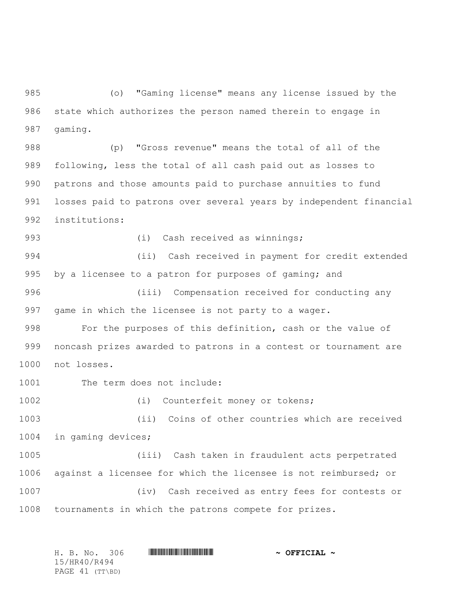(o) "Gaming license" means any license issued by the state which authorizes the person named therein to engage in gaming.

 (p) "Gross revenue" means the total of all of the following, less the total of all cash paid out as losses to patrons and those amounts paid to purchase annuities to fund losses paid to patrons over several years by independent financial institutions:

993 (i) Cash received as winnings;

 (ii) Cash received in payment for credit extended by a licensee to a patron for purposes of gaming; and

 (iii) Compensation received for conducting any game in which the licensee is not party to a wager.

 For the purposes of this definition, cash or the value of noncash prizes awarded to patrons in a contest or tournament are not losses.

1001 The term does not include:

(i) Counterfeit money or tokens;

 (ii) Coins of other countries which are received in gaming devices;

 (iii) Cash taken in fraudulent acts perpetrated against a licensee for which the licensee is not reimbursed; or (iv) Cash received as entry fees for contests or tournaments in which the patrons compete for prizes.

|              |  | H. B. No. 306   |  | $\sim$ OFFICIAL $\sim$ |
|--------------|--|-----------------|--|------------------------|
| 15/HR40/R494 |  |                 |  |                        |
|              |  | PAGE 41 (TT\BD) |  |                        |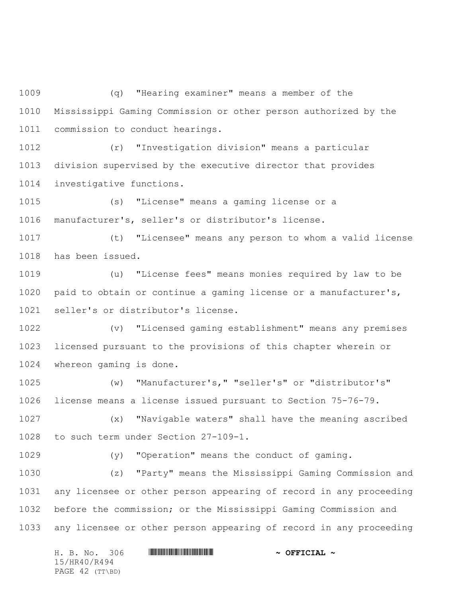(q) "Hearing examiner" means a member of the Mississippi Gaming Commission or other person authorized by the commission to conduct hearings.

 (r) "Investigation division" means a particular division supervised by the executive director that provides investigative functions.

 (s) "License" means a gaming license or a manufacturer's, seller's or distributor's license.

 (t) "Licensee" means any person to whom a valid license has been issued.

 (u) "License fees" means monies required by law to be paid to obtain or continue a gaming license or a manufacturer's, seller's or distributor's license.

 (v) "Licensed gaming establishment" means any premises licensed pursuant to the provisions of this chapter wherein or whereon gaming is done.

 (w) "Manufacturer's," "seller's" or "distributor's" license means a license issued pursuant to Section 75-76-79.

 (x) "Navigable waters" shall have the meaning ascribed to such term under Section 27-109-1.

(y) "Operation" means the conduct of gaming.

 (z) "Party" means the Mississippi Gaming Commission and any licensee or other person appearing of record in any proceeding before the commission; or the Mississippi Gaming Commission and any licensee or other person appearing of record in any proceeding

|  | H. B. No. 306   |  | $\sim$ OFFICIAL $\sim$ |  |
|--|-----------------|--|------------------------|--|
|  | 15/HR40/R494    |  |                        |  |
|  | PAGE 42 (TT\BD) |  |                        |  |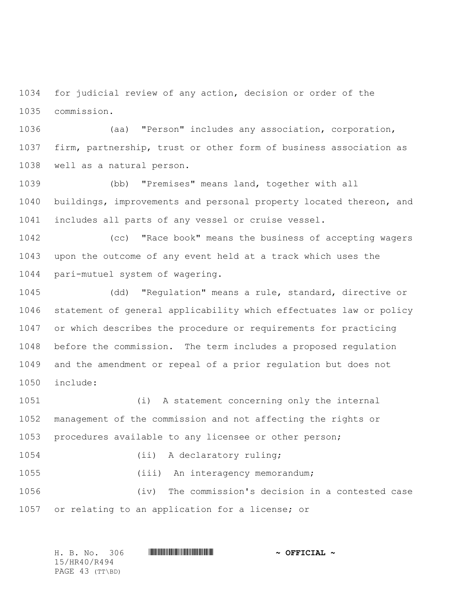for judicial review of any action, decision or order of the commission.

 (aa) "Person" includes any association, corporation, firm, partnership, trust or other form of business association as well as a natural person.

 (bb) "Premises" means land, together with all buildings, improvements and personal property located thereon, and includes all parts of any vessel or cruise vessel.

 (cc) "Race book" means the business of accepting wagers upon the outcome of any event held at a track which uses the pari-mutuel system of wagering.

 (dd) "Regulation" means a rule, standard, directive or statement of general applicability which effectuates law or policy or which describes the procedure or requirements for practicing before the commission. The term includes a proposed regulation and the amendment or repeal of a prior regulation but does not include:

 (i) A statement concerning only the internal management of the commission and not affecting the rights or procedures available to any licensee or other person;

1054 (ii) A declaratory ruling; (iii) An interagency memorandum;

 (iv) The commission's decision in a contested case or relating to an application for a license; or

| H. B. No. 306   | $\sim$ OFFICIAL $\sim$ |
|-----------------|------------------------|
| 15/HR40/R494    |                        |
| PAGE 43 (TT\BD) |                        |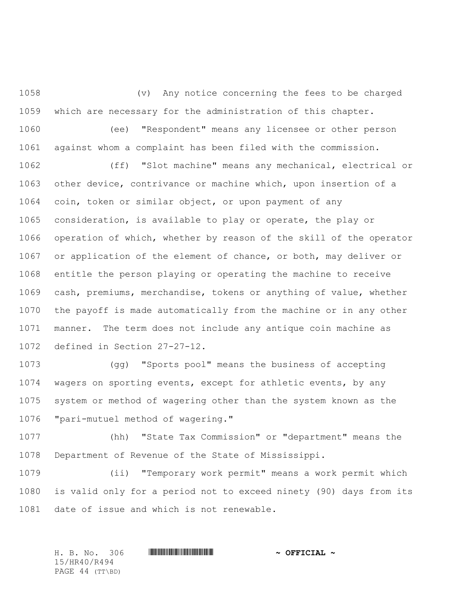(v) Any notice concerning the fees to be charged which are necessary for the administration of this chapter. (ee) "Respondent" means any licensee or other person against whom a complaint has been filed with the commission.

 (ff) "Slot machine" means any mechanical, electrical or other device, contrivance or machine which, upon insertion of a coin, token or similar object, or upon payment of any consideration, is available to play or operate, the play or operation of which, whether by reason of the skill of the operator or application of the element of chance, or both, may deliver or entitle the person playing or operating the machine to receive cash, premiums, merchandise, tokens or anything of value, whether the payoff is made automatically from the machine or in any other manner. The term does not include any antique coin machine as defined in Section 27-27-12.

 (gg) "Sports pool" means the business of accepting wagers on sporting events, except for athletic events, by any system or method of wagering other than the system known as the "pari-mutuel method of wagering."

 (hh) "State Tax Commission" or "department" means the Department of Revenue of the State of Mississippi.

 (ii) "Temporary work permit" means a work permit which is valid only for a period not to exceed ninety (90) days from its date of issue and which is not renewable.

H. B. No. 306 \*HR40/R494\* **~ OFFICIAL ~** 15/HR40/R494 PAGE 44 (TT\BD)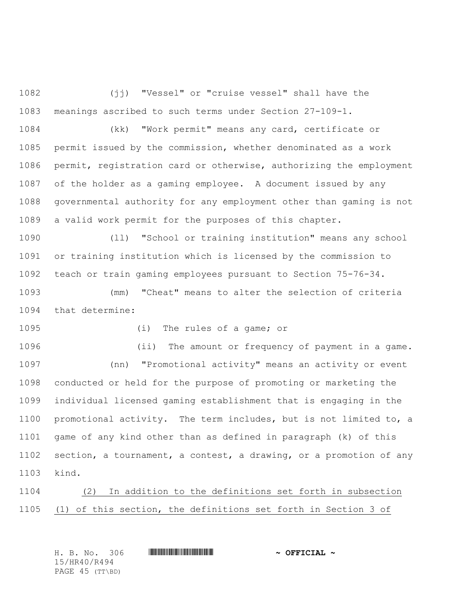(jj) "Vessel" or "cruise vessel" shall have the meanings ascribed to such terms under Section 27-109-1.

 (kk) "Work permit" means any card, certificate or permit issued by the commission, whether denominated as a work permit, registration card or otherwise, authorizing the employment of the holder as a gaming employee. A document issued by any governmental authority for any employment other than gaming is not a valid work permit for the purposes of this chapter.

 (ll) "School or training institution" means any school or training institution which is licensed by the commission to teach or train gaming employees pursuant to Section 75-76-34.

 (mm) "Cheat" means to alter the selection of criteria that determine:

(i) The rules of a game; or

 (ii) The amount or frequency of payment in a game. (nn) "Promotional activity" means an activity or event conducted or held for the purpose of promoting or marketing the individual licensed gaming establishment that is engaging in the promotional activity. The term includes, but is not limited to, a game of any kind other than as defined in paragraph (k) of this section, a tournament, a contest, a drawing, or a promotion of any kind.

 (2) In addition to the definitions set forth in subsection (1) of this section, the definitions set forth in Section 3 of

H. B. No. 306 \*HR40/R494\* **~ OFFICIAL ~** 15/HR40/R494 PAGE 45 (TT\BD)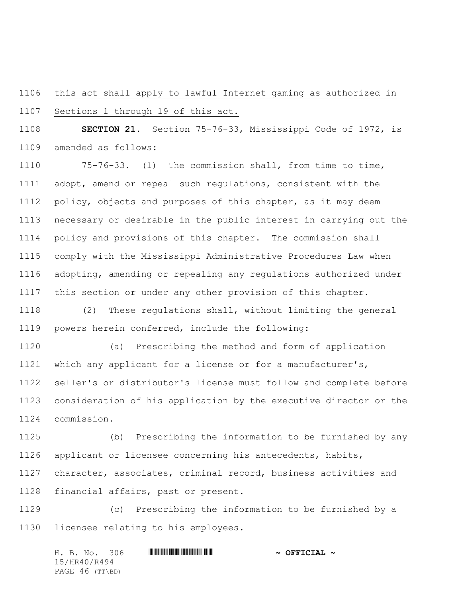this act shall apply to lawful Internet gaming as authorized in

Sections 1 through 19 of this act.

 **SECTION 21.** Section 75-76-33, Mississippi Code of 1972, is amended as follows:

 75-76-33. (1) The commission shall, from time to time, adopt, amend or repeal such regulations, consistent with the policy, objects and purposes of this chapter, as it may deem necessary or desirable in the public interest in carrying out the policy and provisions of this chapter. The commission shall comply with the Mississippi Administrative Procedures Law when adopting, amending or repealing any regulations authorized under this section or under any other provision of this chapter.

 (2) These regulations shall, without limiting the general powers herein conferred, include the following:

 (a) Prescribing the method and form of application which any applicant for a license or for a manufacturer's, seller's or distributor's license must follow and complete before consideration of his application by the executive director or the commission.

 (b) Prescribing the information to be furnished by any applicant or licensee concerning his antecedents, habits, character, associates, criminal record, business activities and financial affairs, past or present.

 (c) Prescribing the information to be furnished by a licensee relating to his employees.

H. B. No. 306 \*HR40/R494\* **~ OFFICIAL ~** 15/HR40/R494 PAGE 46 (TT\BD)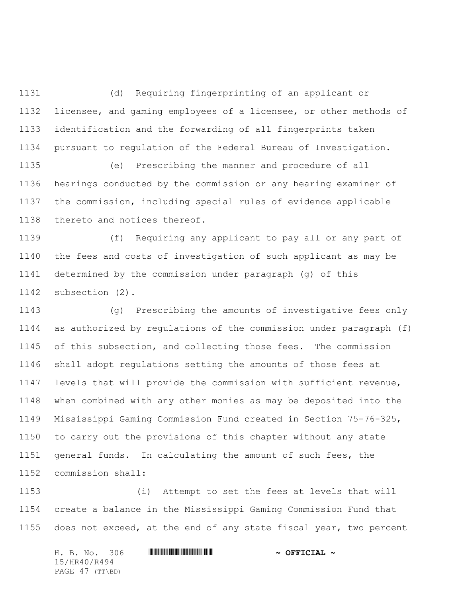(d) Requiring fingerprinting of an applicant or licensee, and gaming employees of a licensee, or other methods of identification and the forwarding of all fingerprints taken pursuant to regulation of the Federal Bureau of Investigation.

 (e) Prescribing the manner and procedure of all hearings conducted by the commission or any hearing examiner of the commission, including special rules of evidence applicable thereto and notices thereof.

 (f) Requiring any applicant to pay all or any part of the fees and costs of investigation of such applicant as may be determined by the commission under paragraph (g) of this subsection (2).

 (g) Prescribing the amounts of investigative fees only as authorized by regulations of the commission under paragraph (f) of this subsection, and collecting those fees. The commission shall adopt regulations setting the amounts of those fees at levels that will provide the commission with sufficient revenue, when combined with any other monies as may be deposited into the Mississippi Gaming Commission Fund created in Section 75-76-325, to carry out the provisions of this chapter without any state general funds. In calculating the amount of such fees, the commission shall:

 (i) Attempt to set the fees at levels that will create a balance in the Mississippi Gaming Commission Fund that does not exceed, at the end of any state fiscal year, two percent

H. B. No. 306 \*HR40/R494\* **~ OFFICIAL ~** 15/HR40/R494 PAGE 47 (TT\BD)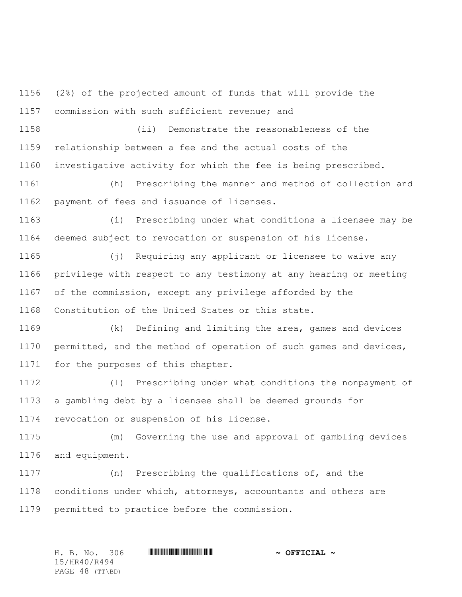(2%) of the projected amount of funds that will provide the commission with such sufficient revenue; and

 (ii) Demonstrate the reasonableness of the relationship between a fee and the actual costs of the investigative activity for which the fee is being prescribed.

 (h) Prescribing the manner and method of collection and payment of fees and issuance of licenses.

 (i) Prescribing under what conditions a licensee may be deemed subject to revocation or suspension of his license.

 (j) Requiring any applicant or licensee to waive any privilege with respect to any testimony at any hearing or meeting of the commission, except any privilege afforded by the Constitution of the United States or this state.

 (k) Defining and limiting the area, games and devices permitted, and the method of operation of such games and devices, for the purposes of this chapter.

 (l) Prescribing under what conditions the nonpayment of a gambling debt by a licensee shall be deemed grounds for revocation or suspension of his license.

 (m) Governing the use and approval of gambling devices and equipment.

 (n) Prescribing the qualifications of, and the conditions under which, attorneys, accountants and others are permitted to practice before the commission.

H. B. No. 306 \*HR40/R494\* **~ OFFICIAL ~** 15/HR40/R494 PAGE 48 (TT\BD)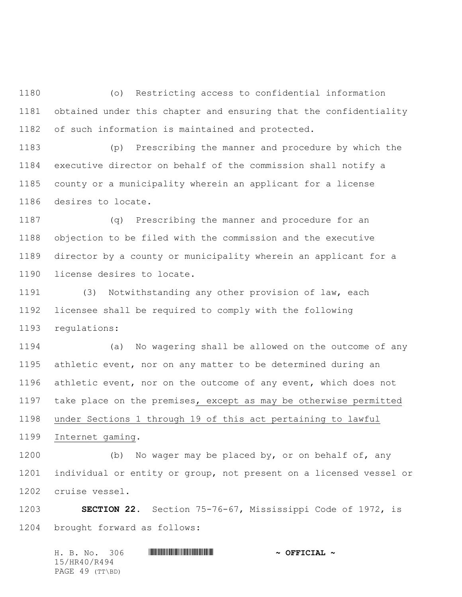(o) Restricting access to confidential information obtained under this chapter and ensuring that the confidentiality of such information is maintained and protected.

 (p) Prescribing the manner and procedure by which the executive director on behalf of the commission shall notify a county or a municipality wherein an applicant for a license desires to locate.

 (q) Prescribing the manner and procedure for an objection to be filed with the commission and the executive director by a county or municipality wherein an applicant for a license desires to locate.

 (3) Notwithstanding any other provision of law, each licensee shall be required to comply with the following regulations:

 (a) No wagering shall be allowed on the outcome of any athletic event, nor on any matter to be determined during an athletic event, nor on the outcome of any event, which does not 1197 take place on the premises, except as may be otherwise permitted under Sections 1 through 19 of this act pertaining to lawful Internet gaming.

 (b) No wager may be placed by, or on behalf of, any individual or entity or group, not present on a licensed vessel or cruise vessel.

 **SECTION 22.** Section 75-76-67, Mississippi Code of 1972, is brought forward as follows:

H. B. No. 306 \*HR40/R494\* **~ OFFICIAL ~** 15/HR40/R494 PAGE 49 (TT\BD)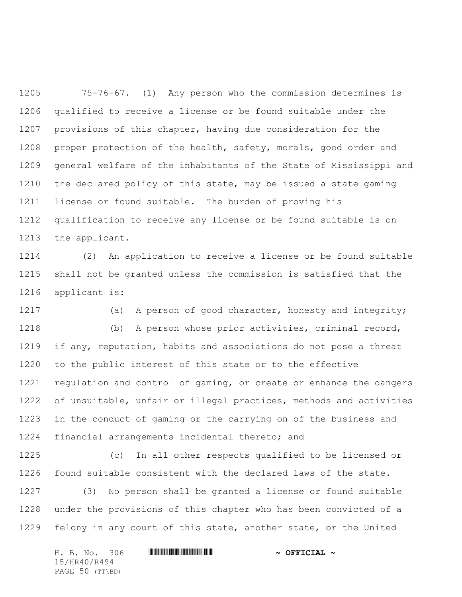75-76-67. (1) Any person who the commission determines is qualified to receive a license or be found suitable under the provisions of this chapter, having due consideration for the proper protection of the health, safety, morals, good order and general welfare of the inhabitants of the State of Mississippi and the declared policy of this state, may be issued a state gaming license or found suitable. The burden of proving his qualification to receive any license or be found suitable is on the applicant.

 (2) An application to receive a license or be found suitable shall not be granted unless the commission is satisfied that the applicant is:

1217 (a) A person of good character, honesty and integrity;

 (b) A person whose prior activities, criminal record, 1219 if any, reputation, habits and associations do not pose a threat to the public interest of this state or to the effective regulation and control of gaming, or create or enhance the dangers of unsuitable, unfair or illegal practices, methods and activities in the conduct of gaming or the carrying on of the business and financial arrangements incidental thereto; and

 (c) In all other respects qualified to be licensed or found suitable consistent with the declared laws of the state.

 (3) No person shall be granted a license or found suitable under the provisions of this chapter who has been convicted of a felony in any court of this state, another state, or the United

|  |              | H. B. No. 306   | $\sim$ OFFICIAL $\sim$ |
|--|--------------|-----------------|------------------------|
|  | 15/HR40/R494 |                 |                        |
|  |              | PAGE 50 (TT\BD) |                        |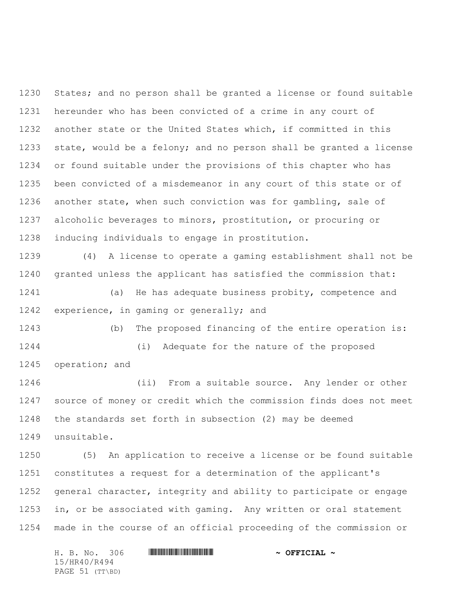States; and no person shall be granted a license or found suitable hereunder who has been convicted of a crime in any court of another state or the United States which, if committed in this state, would be a felony; and no person shall be granted a license or found suitable under the provisions of this chapter who has been convicted of a misdemeanor in any court of this state or of another state, when such conviction was for gambling, sale of alcoholic beverages to minors, prostitution, or procuring or inducing individuals to engage in prostitution.

 (4) A license to operate a gaming establishment shall not be granted unless the applicant has satisfied the commission that:

 (a) He has adequate business probity, competence and experience, in gaming or generally; and

 (b) The proposed financing of the entire operation is: (i) Adequate for the nature of the proposed operation; and

 (ii) From a suitable source. Any lender or other source of money or credit which the commission finds does not meet the standards set forth in subsection (2) may be deemed unsuitable.

 (5) An application to receive a license or be found suitable constitutes a request for a determination of the applicant's general character, integrity and ability to participate or engage in, or be associated with gaming. Any written or oral statement made in the course of an official proceeding of the commission or

|  |              | H. B. No. 306   | $\sim$ OFFICIAL $\sim$ |
|--|--------------|-----------------|------------------------|
|  | 15/HR40/R494 |                 |                        |
|  |              | PAGE 51 (TT\BD) |                        |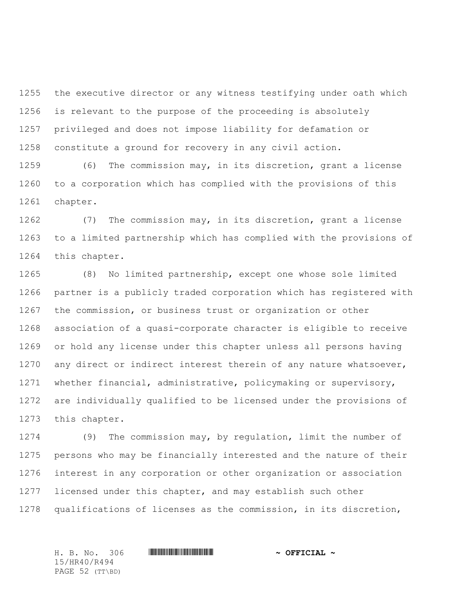the executive director or any witness testifying under oath which is relevant to the purpose of the proceeding is absolutely privileged and does not impose liability for defamation or constitute a ground for recovery in any civil action.

 (6) The commission may, in its discretion, grant a license to a corporation which has complied with the provisions of this chapter.

 (7) The commission may, in its discretion, grant a license to a limited partnership which has complied with the provisions of this chapter.

 (8) No limited partnership, except one whose sole limited partner is a publicly traded corporation which has registered with the commission, or business trust or organization or other association of a quasi-corporate character is eligible to receive or hold any license under this chapter unless all persons having 1270 any direct or indirect interest therein of any nature whatsoever, whether financial, administrative, policymaking or supervisory, are individually qualified to be licensed under the provisions of this chapter.

 (9) The commission may, by regulation, limit the number of persons who may be financially interested and the nature of their interest in any corporation or other organization or association licensed under this chapter, and may establish such other qualifications of licenses as the commission, in its discretion,

15/HR40/R494 PAGE 52 (TT\BD)

H. B. No. 306 \*HR40/R494\* **~ OFFICIAL ~**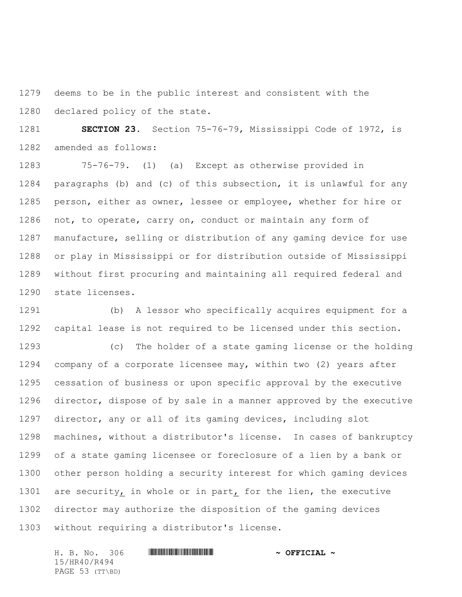deems to be in the public interest and consistent with the declared policy of the state.

 **SECTION 23.** Section 75-76-79, Mississippi Code of 1972, is amended as follows:

 75-76-79. (1) (a) Except as otherwise provided in paragraphs (b) and (c) of this subsection, it is unlawful for any person, either as owner, lessee or employee, whether for hire or not, to operate, carry on, conduct or maintain any form of manufacture, selling or distribution of any gaming device for use or play in Mississippi or for distribution outside of Mississippi without first procuring and maintaining all required federal and state licenses.

 (b) A lessor who specifically acquires equipment for a capital lease is not required to be licensed under this section.

 (c) The holder of a state gaming license or the holding company of a corporate licensee may, within two (2) years after cessation of business or upon specific approval by the executive director, dispose of by sale in a manner approved by the executive director, any or all of its gaming devices, including slot machines, without a distributor's license. In cases of bankruptcy of a state gaming licensee or foreclosure of a lien by a bank or other person holding a security interest for which gaming devices are security, in whole or in part, for the lien, the executive director may authorize the disposition of the gaming devices without requiring a distributor's license.

H. B. No. 306 \*HR40/R494\* **~ OFFICIAL ~** 15/HR40/R494 PAGE 53 (TT\BD)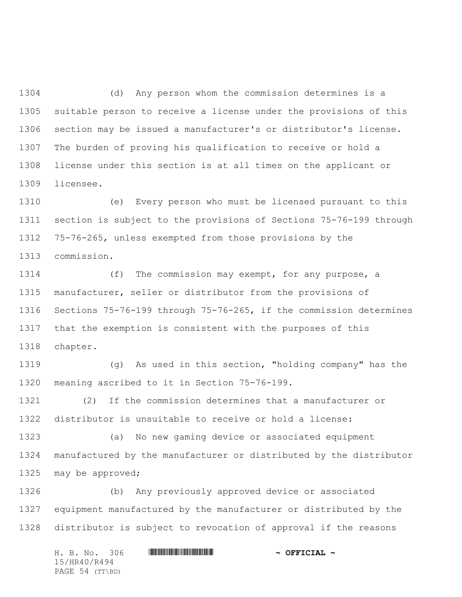(d) Any person whom the commission determines is a suitable person to receive a license under the provisions of this section may be issued a manufacturer's or distributor's license. The burden of proving his qualification to receive or hold a license under this section is at all times on the applicant or licensee.

 (e) Every person who must be licensed pursuant to this section is subject to the provisions of Sections 75-76-199 through 75-76-265, unless exempted from those provisions by the commission.

 (f) The commission may exempt, for any purpose, a manufacturer, seller or distributor from the provisions of Sections 75-76-199 through 75-76-265, if the commission determines that the exemption is consistent with the purposes of this chapter.

 (g) As used in this section, "holding company" has the meaning ascribed to it in Section 75-76-199.

 (2) If the commission determines that a manufacturer or distributor is unsuitable to receive or hold a license:

 (a) No new gaming device or associated equipment manufactured by the manufacturer or distributed by the distributor 1325 may be approved;

 (b) Any previously approved device or associated equipment manufactured by the manufacturer or distributed by the distributor is subject to revocation of approval if the reasons

H. B. No. 306 \*HR40/R494\* **~ OFFICIAL ~** 15/HR40/R494 PAGE 54 (TT\BD)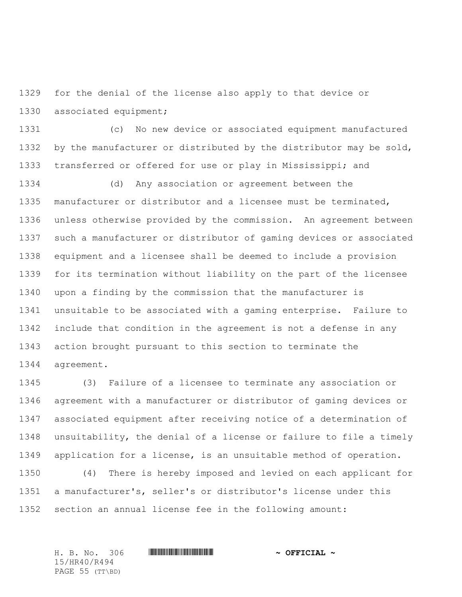for the denial of the license also apply to that device or associated equipment;

 (c) No new device or associated equipment manufactured by the manufacturer or distributed by the distributor may be sold, transferred or offered for use or play in Mississippi; and

 (d) Any association or agreement between the manufacturer or distributor and a licensee must be terminated, unless otherwise provided by the commission. An agreement between such a manufacturer or distributor of gaming devices or associated equipment and a licensee shall be deemed to include a provision for its termination without liability on the part of the licensee upon a finding by the commission that the manufacturer is unsuitable to be associated with a gaming enterprise. Failure to include that condition in the agreement is not a defense in any action brought pursuant to this section to terminate the agreement.

 (3) Failure of a licensee to terminate any association or agreement with a manufacturer or distributor of gaming devices or associated equipment after receiving notice of a determination of unsuitability, the denial of a license or failure to file a timely application for a license, is an unsuitable method of operation. (4) There is hereby imposed and levied on each applicant for

 a manufacturer's, seller's or distributor's license under this section an annual license fee in the following amount:

H. B. No. 306 \*HR40/R494\* **~ OFFICIAL ~** 15/HR40/R494 PAGE 55 (TT\BD)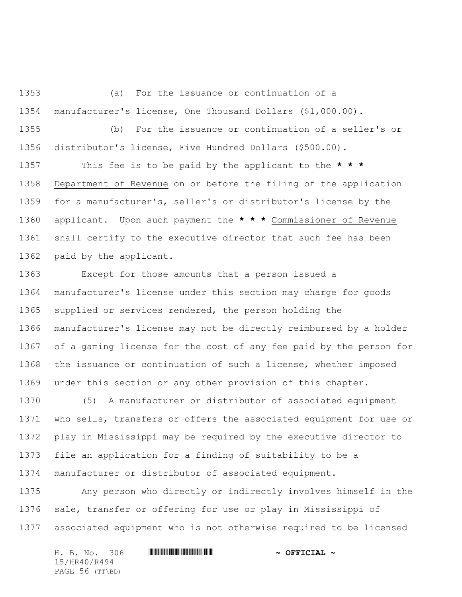(a) For the issuance or continuation of a manufacturer's license, One Thousand Dollars (\$1,000.00).

 (b) For the issuance or continuation of a seller's or distributor's license, Five Hundred Dollars (\$500.00).

 This fee is to be paid by the applicant to the **\* \* \*** Department of Revenue on or before the filing of the application for a manufacturer's, seller's or distributor's license by the applicant. Upon such payment the **\* \* \*** Commissioner of Revenue shall certify to the executive director that such fee has been paid by the applicant.

 Except for those amounts that a person issued a manufacturer's license under this section may charge for goods supplied or services rendered, the person holding the manufacturer's license may not be directly reimbursed by a holder of a gaming license for the cost of any fee paid by the person for the issuance or continuation of such a license, whether imposed under this section or any other provision of this chapter.

 (5) A manufacturer or distributor of associated equipment who sells, transfers or offers the associated equipment for use or play in Mississippi may be required by the executive director to file an application for a finding of suitability to be a manufacturer or distributor of associated equipment.

 Any person who directly or indirectly involves himself in the sale, transfer or offering for use or play in Mississippi of associated equipment who is not otherwise required to be licensed

|  | H. B. No. 306   |  | $\sim$ OFFICIAL $\sim$ |
|--|-----------------|--|------------------------|
|  | 15/HR40/R494    |  |                        |
|  | PAGE 56 (TT\BD) |  |                        |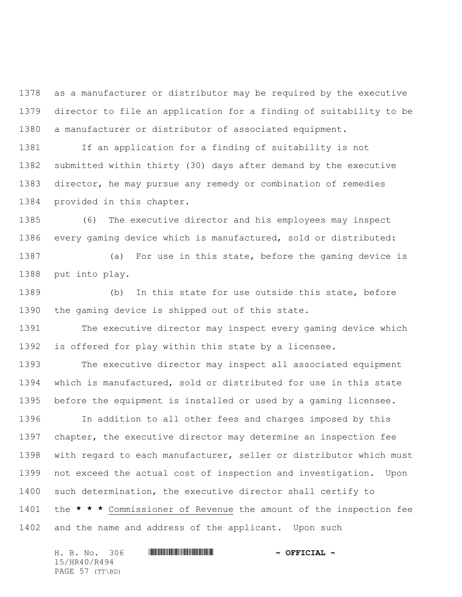as a manufacturer or distributor may be required by the executive director to file an application for a finding of suitability to be a manufacturer or distributor of associated equipment.

 If an application for a finding of suitability is not submitted within thirty (30) days after demand by the executive director, he may pursue any remedy or combination of remedies provided in this chapter.

 (6) The executive director and his employees may inspect every gaming device which is manufactured, sold or distributed:

 (a) For use in this state, before the gaming device is put into play.

 (b) In this state for use outside this state, before the gaming device is shipped out of this state.

 The executive director may inspect every gaming device which is offered for play within this state by a licensee.

 The executive director may inspect all associated equipment which is manufactured, sold or distributed for use in this state before the equipment is installed or used by a gaming licensee.

 In addition to all other fees and charges imposed by this chapter, the executive director may determine an inspection fee with regard to each manufacturer, seller or distributor which must not exceed the actual cost of inspection and investigation. Upon such determination, the executive director shall certify to the **\* \* \*** Commissioner of Revenue the amount of the inspection fee and the name and address of the applicant. Upon such

|              |  | H. B. No. 306   |  | $\sim$ OFFICIAL $\sim$ |
|--------------|--|-----------------|--|------------------------|
| 15/HR40/R494 |  |                 |  |                        |
|              |  | PAGE 57 (TT\BD) |  |                        |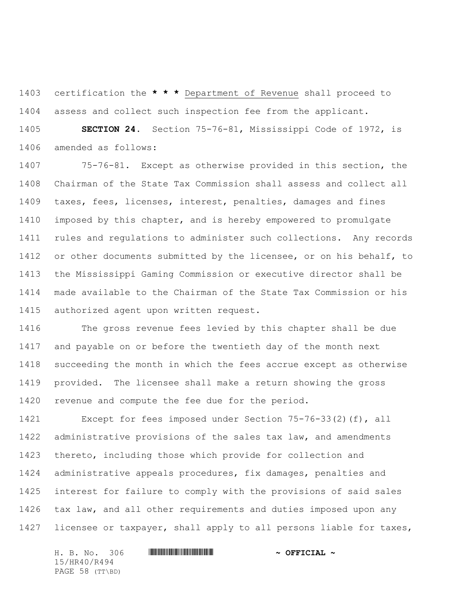certification the **\* \* \*** Department of Revenue shall proceed to assess and collect such inspection fee from the applicant.

 **SECTION 24.** Section 75-76-81, Mississippi Code of 1972, is amended as follows:

 75-76-81. Except as otherwise provided in this section, the Chairman of the State Tax Commission shall assess and collect all taxes, fees, licenses, interest, penalties, damages and fines imposed by this chapter, and is hereby empowered to promulgate rules and regulations to administer such collections. Any records 1412 or other documents submitted by the licensee, or on his behalf, to the Mississippi Gaming Commission or executive director shall be made available to the Chairman of the State Tax Commission or his authorized agent upon written request.

 The gross revenue fees levied by this chapter shall be due and payable on or before the twentieth day of the month next succeeding the month in which the fees accrue except as otherwise provided. The licensee shall make a return showing the gross revenue and compute the fee due for the period.

 Except for fees imposed under Section 75-76-33(2)(f), all administrative provisions of the sales tax law, and amendments thereto, including those which provide for collection and administrative appeals procedures, fix damages, penalties and interest for failure to comply with the provisions of said sales tax law, and all other requirements and duties imposed upon any licensee or taxpayer, shall apply to all persons liable for taxes,

H. B. No. 306 \*HR40/R494\* **~ OFFICIAL ~** 15/HR40/R494 PAGE 58 (TT\BD)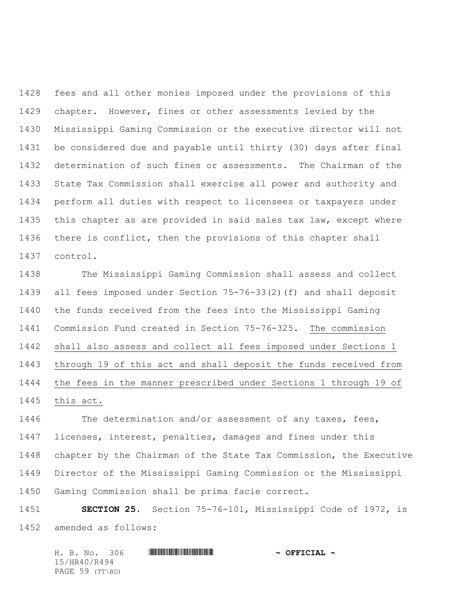fees and all other monies imposed under the provisions of this chapter. However, fines or other assessments levied by the Mississippi Gaming Commission or the executive director will not be considered due and payable until thirty (30) days after final determination of such fines or assessments. The Chairman of the State Tax Commission shall exercise all power and authority and perform all duties with respect to licensees or taxpayers under this chapter as are provided in said sales tax law, except where there is conflict, then the provisions of this chapter shall control.

 The Mississippi Gaming Commission shall assess and collect all fees imposed under Section 75-76-33(2)(f) and shall deposit the funds received from the fees into the Mississippi Gaming Commission Fund created in Section 75-76-325. The commission shall also assess and collect all fees imposed under Sections 1 through 19 of this act and shall deposit the funds received from the fees in the manner prescribed under Sections 1 through 19 of this act.

 The determination and/or assessment of any taxes, fees, licenses, interest, penalties, damages and fines under this chapter by the Chairman of the State Tax Commission, the Executive Director of the Mississippi Gaming Commission or the Mississippi Gaming Commission shall be prima facie correct.

 **SECTION 25.** Section 75-76-101, Mississippi Code of 1972, is amended as follows:

|  |              | H. B. No. 306   |  | $\sim$ OFFICIAL $\sim$ |
|--|--------------|-----------------|--|------------------------|
|  | 15/HR40/R494 |                 |  |                        |
|  |              | PAGE 59 (TT\BD) |  |                        |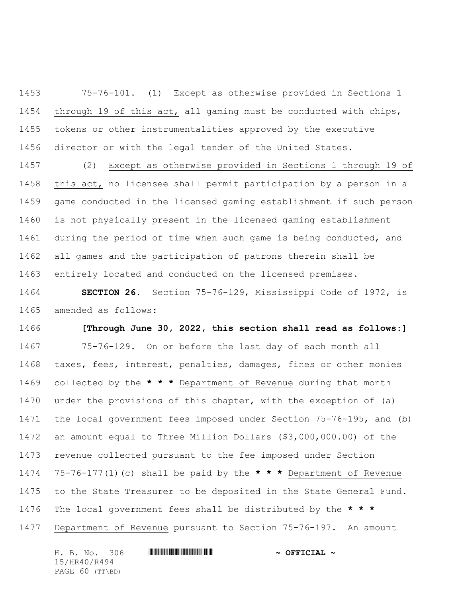75-76-101. (1) Except as otherwise provided in Sections 1 1454 through 19 of this act, all gaming must be conducted with chips, tokens or other instrumentalities approved by the executive director or with the legal tender of the United States.

 (2) Except as otherwise provided in Sections 1 through 19 of this act, no licensee shall permit participation by a person in a game conducted in the licensed gaming establishment if such person is not physically present in the licensed gaming establishment 1461 during the period of time when such game is being conducted, and all games and the participation of patrons therein shall be entirely located and conducted on the licensed premises.

 **SECTION 26.** Section 75-76-129, Mississippi Code of 1972, is amended as follows:

 **[Through June 30, 2022, this section shall read as follows:]**  75-76-129. On or before the last day of each month all taxes, fees, interest, penalties, damages, fines or other monies collected by the **\* \* \*** Department of Revenue during that month under the provisions of this chapter, with the exception of (a) the local government fees imposed under Section 75-76-195, and (b) an amount equal to Three Million Dollars (\$3,000,000.00) of the revenue collected pursuant to the fee imposed under Section 75-76-177(1)(c) shall be paid by the **\* \* \*** Department of Revenue to the State Treasurer to be deposited in the State General Fund. The local government fees shall be distributed by the **\* \* \*** Department of Revenue pursuant to Section 75-76-197. An amount

H. B. No. 306 \*HR40/R494\* **~ OFFICIAL ~** 15/HR40/R494 PAGE 60 (TT\BD)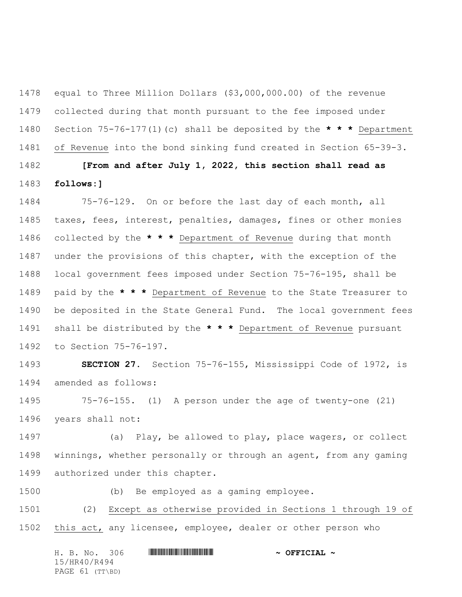equal to Three Million Dollars (\$3,000,000.00) of the revenue collected during that month pursuant to the fee imposed under Section 75-76-177(1)(c) shall be deposited by the **\* \* \*** Department of Revenue into the bond sinking fund created in Section 65-39-3.

 **[From and after July 1, 2022, this section shall read as follows:]**

 75-76-129. On or before the last day of each month, all taxes, fees, interest, penalties, damages, fines or other monies collected by the **\* \* \*** Department of Revenue during that month under the provisions of this chapter, with the exception of the local government fees imposed under Section 75-76-195, shall be paid by the **\* \* \*** Department of Revenue to the State Treasurer to be deposited in the State General Fund. The local government fees shall be distributed by the **\* \* \*** Department of Revenue pursuant to Section 75-76-197.

 **SECTION 27.** Section 75-76-155, Mississippi Code of 1972, is amended as follows:

 75-76-155. (1) A person under the age of twenty-one (21) years shall not:

 (a) Play, be allowed to play, place wagers, or collect winnings, whether personally or through an agent, from any gaming authorized under this chapter.

(b) Be employed as a gaming employee.

 (2) Except as otherwise provided in Sections 1 through 19 of this act, any licensee, employee, dealer or other person who

H. B. No. 306 \*HR40/R494\* **~ OFFICIAL ~** 15/HR40/R494 PAGE 61 (TT\BD)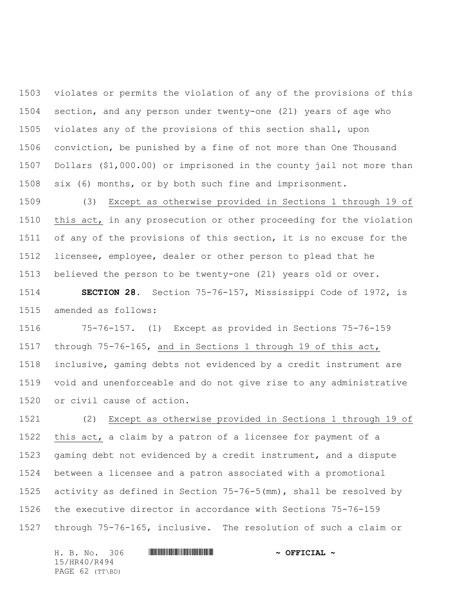violates or permits the violation of any of the provisions of this section, and any person under twenty-one (21) years of age who violates any of the provisions of this section shall, upon conviction, be punished by a fine of not more than One Thousand Dollars (\$1,000.00) or imprisoned in the county jail not more than six (6) months, or by both such fine and imprisonment.

 (3) Except as otherwise provided in Sections 1 through 19 of this act, in any prosecution or other proceeding for the violation of any of the provisions of this section, it is no excuse for the licensee, employee, dealer or other person to plead that he believed the person to be twenty-one (21) years old or over.

 **SECTION 28.** Section 75-76-157, Mississippi Code of 1972, is amended as follows:

 75-76-157. (1) Except as provided in Sections 75-76-159 through 75-76-165, and in Sections 1 through 19 of this act, inclusive, gaming debts not evidenced by a credit instrument are void and unenforceable and do not give rise to any administrative or civil cause of action.

 (2) Except as otherwise provided in Sections 1 through 19 of this act, a claim by a patron of a licensee for payment of a gaming debt not evidenced by a credit instrument, and a dispute between a licensee and a patron associated with a promotional activity as defined in Section 75-76-5(mm), shall be resolved by the executive director in accordance with Sections 75-76-159 through 75-76-165, inclusive. The resolution of such a claim or

H. B. No. 306 \*HR40/R494\* **~ OFFICIAL ~** 15/HR40/R494 PAGE 62 (TT\BD)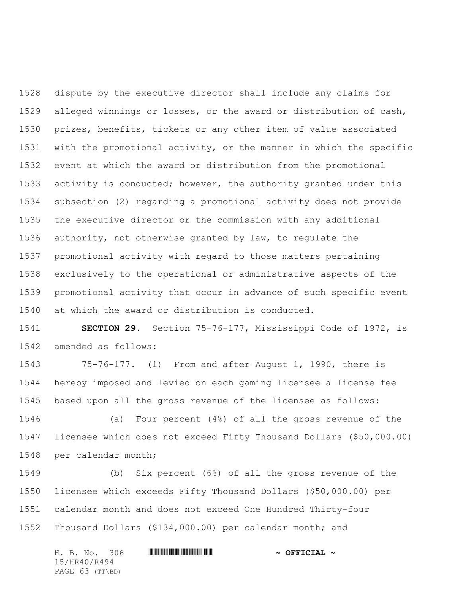dispute by the executive director shall include any claims for alleged winnings or losses, or the award or distribution of cash, prizes, benefits, tickets or any other item of value associated with the promotional activity, or the manner in which the specific event at which the award or distribution from the promotional activity is conducted; however, the authority granted under this subsection (2) regarding a promotional activity does not provide the executive director or the commission with any additional authority, not otherwise granted by law, to regulate the promotional activity with regard to those matters pertaining exclusively to the operational or administrative aspects of the promotional activity that occur in advance of such specific event at which the award or distribution is conducted.

 **SECTION 29.** Section 75-76-177, Mississippi Code of 1972, is amended as follows:

 75-76-177. (1) From and after August 1, 1990, there is hereby imposed and levied on each gaming licensee a license fee based upon all the gross revenue of the licensee as follows:

 (a) Four percent (4%) of all the gross revenue of the licensee which does not exceed Fifty Thousand Dollars (\$50,000.00) per calendar month;

 (b) Six percent (6%) of all the gross revenue of the licensee which exceeds Fifty Thousand Dollars (\$50,000.00) per calendar month and does not exceed One Hundred Thirty-four Thousand Dollars (\$134,000.00) per calendar month; and

H. B. No. 306 \*HR40/R494\* **~ OFFICIAL ~** 15/HR40/R494 PAGE 63 (TT\BD)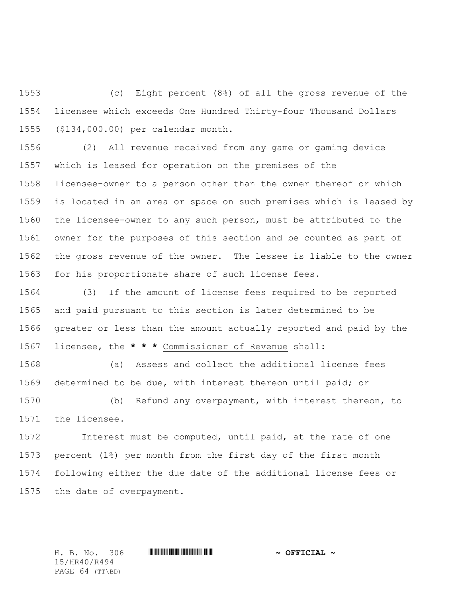(c) Eight percent (8%) of all the gross revenue of the licensee which exceeds One Hundred Thirty-four Thousand Dollars (\$134,000.00) per calendar month.

 (2) All revenue received from any game or gaming device which is leased for operation on the premises of the licensee-owner to a person other than the owner thereof or which is located in an area or space on such premises which is leased by the licensee-owner to any such person, must be attributed to the owner for the purposes of this section and be counted as part of the gross revenue of the owner. The lessee is liable to the owner for his proportionate share of such license fees.

 (3) If the amount of license fees required to be reported and paid pursuant to this section is later determined to be greater or less than the amount actually reported and paid by the licensee, the **\* \* \*** Commissioner of Revenue shall:

 (a) Assess and collect the additional license fees determined to be due, with interest thereon until paid; or (b) Refund any overpayment, with interest thereon, to the licensee.

 Interest must be computed, until paid, at the rate of one percent (1%) per month from the first day of the first month following either the due date of the additional license fees or the date of overpayment.

15/HR40/R494 PAGE 64 (TT\BD)

H. B. No. 306 \*HR40/R494\* **~ OFFICIAL ~**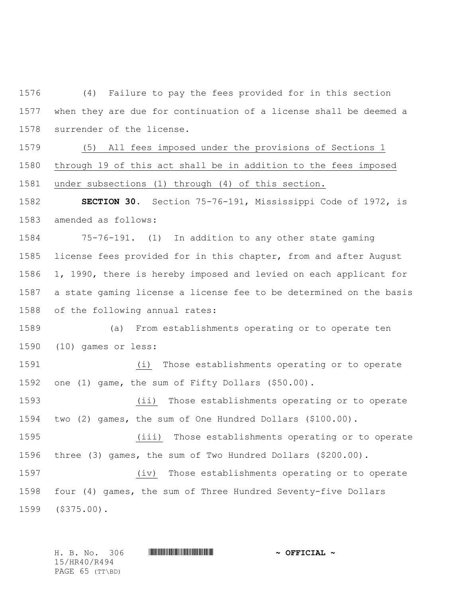(4) Failure to pay the fees provided for in this section when they are due for continuation of a license shall be deemed a surrender of the license.

 (5) All fees imposed under the provisions of Sections 1 through 19 of this act shall be in addition to the fees imposed under subsections (1) through (4) of this section.

 **SECTION 30.** Section 75-76-191, Mississippi Code of 1972, is amended as follows:

 75-76-191. (1) In addition to any other state gaming license fees provided for in this chapter, from and after August 1, 1990, there is hereby imposed and levied on each applicant for a state gaming license a license fee to be determined on the basis of the following annual rates:

 (a) From establishments operating or to operate ten (10) games or less:

 (i) Those establishments operating or to operate one (1) game, the sum of Fifty Dollars (\$50.00).

 (ii) Those establishments operating or to operate two (2) games, the sum of One Hundred Dollars (\$100.00).

 (iii) Those establishments operating or to operate three (3) games, the sum of Two Hundred Dollars (\$200.00).

 (iv) Those establishments operating or to operate four (4) games, the sum of Three Hundred Seventy-five Dollars (\$375.00).

H. B. No. 306 \*HR40/R494\* **~ OFFICIAL ~** 15/HR40/R494 PAGE 65 (TT\BD)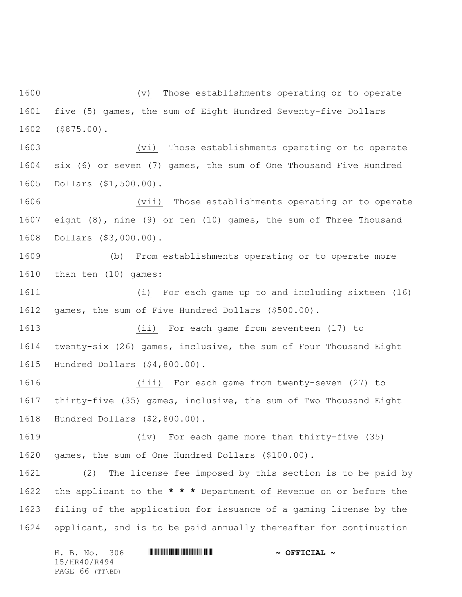(v) Those establishments operating or to operate five (5) games, the sum of Eight Hundred Seventy-five Dollars (\$875.00).

 (vi) Those establishments operating or to operate six (6) or seven (7) games, the sum of One Thousand Five Hundred Dollars (\$1,500.00).

 (vii) Those establishments operating or to operate eight (8), nine (9) or ten (10) games, the sum of Three Thousand Dollars (\$3,000.00).

 (b) From establishments operating or to operate more than ten (10) games:

 (i) For each game up to and including sixteen (16) games, the sum of Five Hundred Dollars (\$500.00).

 (ii) For each game from seventeen (17) to twenty-six (26) games, inclusive, the sum of Four Thousand Eight Hundred Dollars (\$4,800.00).

 (iii) For each game from twenty-seven (27) to thirty-five (35) games, inclusive, the sum of Two Thousand Eight Hundred Dollars (\$2,800.00).

 (iv) For each game more than thirty-five (35) games, the sum of One Hundred Dollars (\$100.00).

 (2) The license fee imposed by this section is to be paid by the applicant to the **\* \* \*** Department of Revenue on or before the filing of the application for issuance of a gaming license by the applicant, and is to be paid annually thereafter for continuation

|              |  | H. B. No. 306   |  |  | $\sim$ OFFICIAL $\sim$ |  |
|--------------|--|-----------------|--|--|------------------------|--|
| 15/HR40/R494 |  |                 |  |  |                        |  |
|              |  | PAGE 66 (TT\BD) |  |  |                        |  |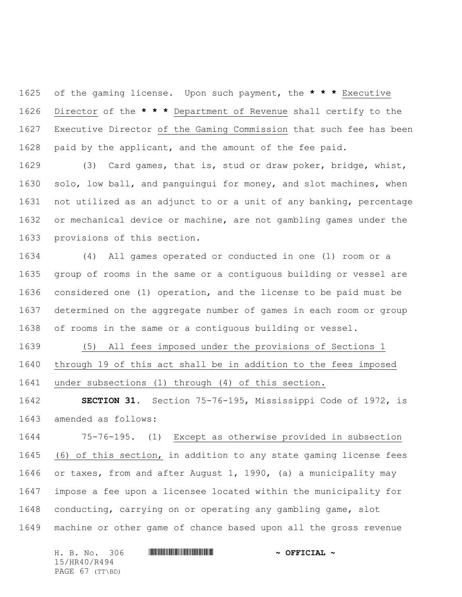of the gaming license. Upon such payment, the **\* \* \*** Executive Director of the **\* \* \*** Department of Revenue shall certify to the Executive Director of the Gaming Commission that such fee has been paid by the applicant, and the amount of the fee paid.

 (3) Card games, that is, stud or draw poker, bridge, whist, solo, low ball, and panguingui for money, and slot machines, when not utilized as an adjunct to or a unit of any banking, percentage or mechanical device or machine, are not gambling games under the provisions of this section.

 (4) All games operated or conducted in one (1) room or a group of rooms in the same or a contiguous building or vessel are considered one (1) operation, and the license to be paid must be determined on the aggregate number of games in each room or group of rooms in the same or a contiguous building or vessel.

 (5) All fees imposed under the provisions of Sections 1 through 19 of this act shall be in addition to the fees imposed under subsections (1) through (4) of this section.

 **SECTION 31.** Section 75-76-195, Mississippi Code of 1972, is amended as follows:

 75-76-195. (1) Except as otherwise provided in subsection (6) of this section, in addition to any state gaming license fees or taxes, from and after August 1, 1990, (a) a municipality may impose a fee upon a licensee located within the municipality for conducting, carrying on or operating any gambling game, slot machine or other game of chance based upon all the gross revenue

H. B. No. 306 \*HR40/R494\* **~ OFFICIAL ~** 15/HR40/R494 PAGE 67 (TT\BD)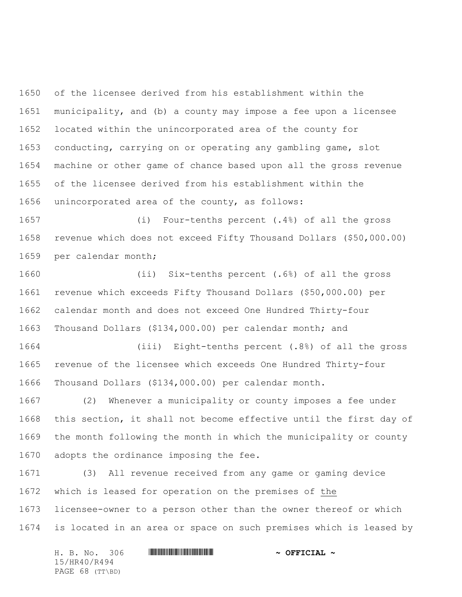of the licensee derived from his establishment within the municipality, and (b) a county may impose a fee upon a licensee located within the unincorporated area of the county for conducting, carrying on or operating any gambling game, slot machine or other game of chance based upon all the gross revenue of the licensee derived from his establishment within the unincorporated area of the county, as follows:

 (i) Four-tenths percent (.4%) of all the gross revenue which does not exceed Fifty Thousand Dollars (\$50,000.00) per calendar month;

 (ii) Six-tenths percent (.6%) of all the gross revenue which exceeds Fifty Thousand Dollars (\$50,000.00) per calendar month and does not exceed One Hundred Thirty-four Thousand Dollars (\$134,000.00) per calendar month; and

 (iii) Eight-tenths percent (.8%) of all the gross revenue of the licensee which exceeds One Hundred Thirty-four Thousand Dollars (\$134,000.00) per calendar month.

 (2) Whenever a municipality or county imposes a fee under this section, it shall not become effective until the first day of the month following the month in which the municipality or county adopts the ordinance imposing the fee.

 (3) All revenue received from any game or gaming device which is leased for operation on the premises of the licensee-owner to a person other than the owner thereof or which is located in an area or space on such premises which is leased by

H. B. No. 306 \*HR40/R494\* **~ OFFICIAL ~** 15/HR40/R494 PAGE 68 (TT\BD)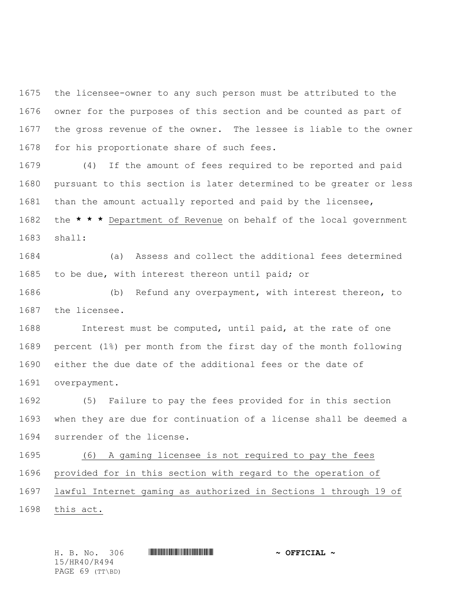the licensee-owner to any such person must be attributed to the owner for the purposes of this section and be counted as part of the gross revenue of the owner. The lessee is liable to the owner for his proportionate share of such fees.

 (4) If the amount of fees required to be reported and paid pursuant to this section is later determined to be greater or less than the amount actually reported and paid by the licensee, the **\* \* \*** Department of Revenue on behalf of the local government

shall:

 (a) Assess and collect the additional fees determined to be due, with interest thereon until paid; or

 (b) Refund any overpayment, with interest thereon, to the licensee.

 Interest must be computed, until paid, at the rate of one percent (1%) per month from the first day of the month following either the due date of the additional fees or the date of overpayment.

 (5) Failure to pay the fees provided for in this section when they are due for continuation of a license shall be deemed a surrender of the license.

 (6) A gaming licensee is not required to pay the fees provided for in this section with regard to the operation of lawful Internet gaming as authorized in Sections 1 through 19 of

this act.

H. B. No. 306 \*HR40/R494\* **~ OFFICIAL ~** 15/HR40/R494 PAGE 69 (TT\BD)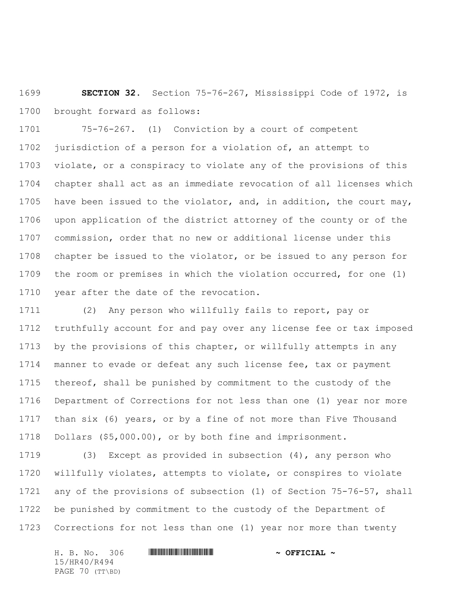**SECTION 32.** Section 75-76-267, Mississippi Code of 1972, is brought forward as follows:

 75-76-267. (1) Conviction by a court of competent jurisdiction of a person for a violation of, an attempt to violate, or a conspiracy to violate any of the provisions of this chapter shall act as an immediate revocation of all licenses which have been issued to the violator, and, in addition, the court may, upon application of the district attorney of the county or of the commission, order that no new or additional license under this chapter be issued to the violator, or be issued to any person for the room or premises in which the violation occurred, for one (1) 1710 year after the date of the revocation.

 (2) Any person who willfully fails to report, pay or truthfully account for and pay over any license fee or tax imposed by the provisions of this chapter, or willfully attempts in any manner to evade or defeat any such license fee, tax or payment thereof, shall be punished by commitment to the custody of the Department of Corrections for not less than one (1) year nor more than six (6) years, or by a fine of not more than Five Thousand Dollars (\$5,000.00), or by both fine and imprisonment.

 (3) Except as provided in subsection (4), any person who willfully violates, attempts to violate, or conspires to violate any of the provisions of subsection (1) of Section 75-76-57, shall be punished by commitment to the custody of the Department of Corrections for not less than one (1) year nor more than twenty

H. B. No. 306 \*HR40/R494\* **~ OFFICIAL ~** 15/HR40/R494 PAGE 70 (TT\BD)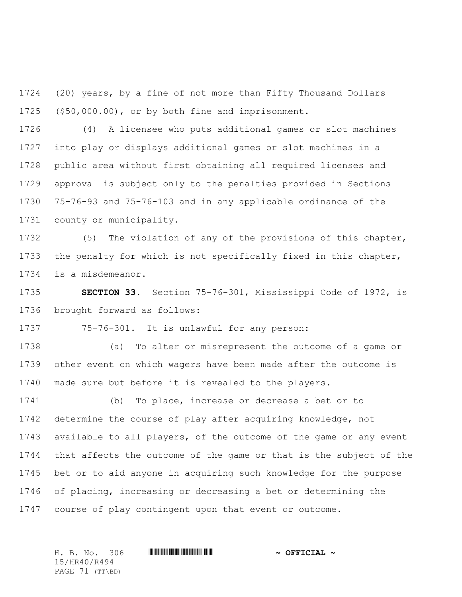(20) years, by a fine of not more than Fifty Thousand Dollars (\$50,000.00), or by both fine and imprisonment.

 (4) A licensee who puts additional games or slot machines into play or displays additional games or slot machines in a public area without first obtaining all required licenses and approval is subject only to the penalties provided in Sections 75-76-93 and 75-76-103 and in any applicable ordinance of the county or municipality.

 (5) The violation of any of the provisions of this chapter, the penalty for which is not specifically fixed in this chapter, is a misdemeanor.

 **SECTION 33.** Section 75-76-301, Mississippi Code of 1972, is brought forward as follows:

75-76-301. It is unlawful for any person:

 (a) To alter or misrepresent the outcome of a game or other event on which wagers have been made after the outcome is made sure but before it is revealed to the players.

 (b) To place, increase or decrease a bet or to determine the course of play after acquiring knowledge, not available to all players, of the outcome of the game or any event that affects the outcome of the game or that is the subject of the bet or to aid anyone in acquiring such knowledge for the purpose of placing, increasing or decreasing a bet or determining the course of play contingent upon that event or outcome.

H. B. No. 306 \*HR40/R494\* **~ OFFICIAL ~** 15/HR40/R494 PAGE 71 (TT\BD)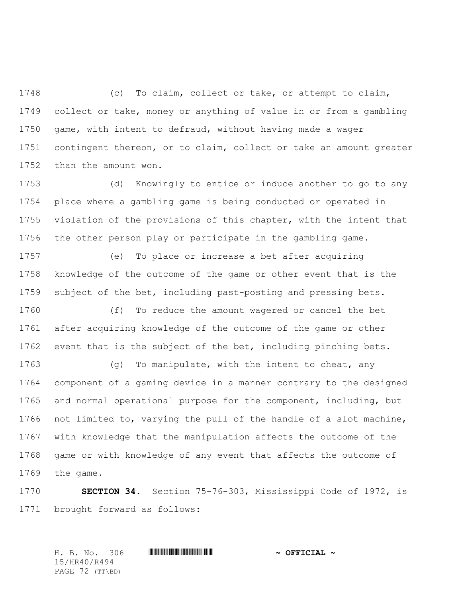(c) To claim, collect or take, or attempt to claim, collect or take, money or anything of value in or from a gambling game, with intent to defraud, without having made a wager contingent thereon, or to claim, collect or take an amount greater than the amount won.

 (d) Knowingly to entice or induce another to go to any place where a gambling game is being conducted or operated in violation of the provisions of this chapter, with the intent that the other person play or participate in the gambling game.

 (e) To place or increase a bet after acquiring knowledge of the outcome of the game or other event that is the subject of the bet, including past-posting and pressing bets.

 (f) To reduce the amount wagered or cancel the bet after acquiring knowledge of the outcome of the game or other event that is the subject of the bet, including pinching bets.

 (g) To manipulate, with the intent to cheat, any component of a gaming device in a manner contrary to the designed and normal operational purpose for the component, including, but not limited to, varying the pull of the handle of a slot machine, with knowledge that the manipulation affects the outcome of the game or with knowledge of any event that affects the outcome of the game.

 **SECTION 34.** Section 75-76-303, Mississippi Code of 1972, is brought forward as follows:

H. B. No. 306 \*HR40/R494\* **~ OFFICIAL ~** 15/HR40/R494 PAGE 72 (TT\BD)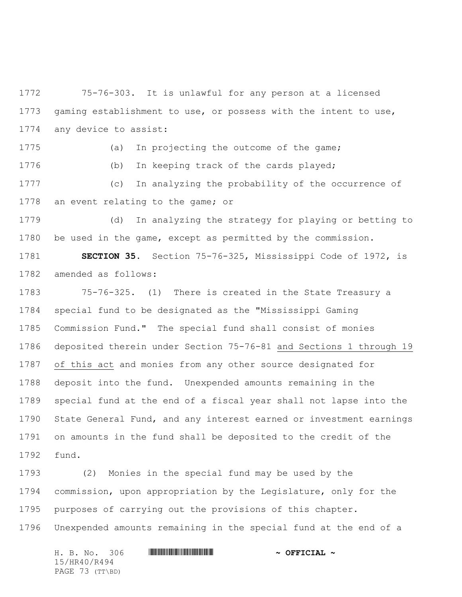75-76-303. It is unlawful for any person at a licensed gaming establishment to use, or possess with the intent to use, any device to assist:

(a) In projecting the outcome of the game;

(b) In keeping track of the cards played;

 (c) In analyzing the probability of the occurrence of an event relating to the game; or

 (d) In analyzing the strategy for playing or betting to be used in the game, except as permitted by the commission.

 **SECTION 35.** Section 75-76-325, Mississippi Code of 1972, is amended as follows:

 75-76-325. (1) There is created in the State Treasury a special fund to be designated as the "Mississippi Gaming Commission Fund." The special fund shall consist of monies deposited therein under Section 75-76-81 and Sections 1 through 19 of this act and monies from any other source designated for deposit into the fund. Unexpended amounts remaining in the special fund at the end of a fiscal year shall not lapse into the State General Fund, and any interest earned or investment earnings on amounts in the fund shall be deposited to the credit of the fund.

 (2) Monies in the special fund may be used by the commission, upon appropriation by the Legislature, only for the purposes of carrying out the provisions of this chapter. Unexpended amounts remaining in the special fund at the end of a

H. B. No. 306 \*HR40/R494\* **~ OFFICIAL ~** 15/HR40/R494 PAGE 73 (TT\BD)